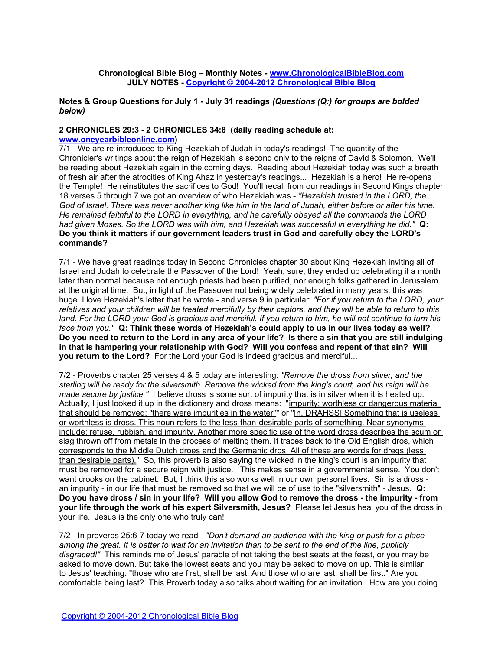### **Chronological Bible Blog – Monthly Notes - [www.ChronologicalBibleBlog.com](http://www.chronologicalbibleblog.com/) JULY NOTES - [Copyright © 2004-2012 Chronological](http://www.chronologicalbibleblog.com/) [Bible](http://www.chronologicalbibleblog.com/) [Blog](http://www.chronologicalbibleblog.com/)**

**Notes & Group Questions for July 1 - July 31 readings** *(Questions (Q:) for groups are bolded below)*

#### **2 CHRONICLES 29:3 - 2 CHRONICLES 34:8 (daily reading schedule at: [www.oneyearbibleonline.com\)](http://www.oneyearbibleonline.com)**

7/1 - We are re-introduced to King Hezekiah of Judah in today's readings! The quantity of the Chronicler's writings about the reign of Hezekiah is second only to the reigns of David & Solomon. We'll be reading about Hezekiah again in the coming days. Reading about Hezekiah today was such a breath of fresh air after the atrocities of King Ahaz in yesterday's readings... Hezekiah is a hero! He re-opens the Temple! He reinstitutes the sacrifices to God! You'll recall from our readings in Second Kings chapter 18 verses 5 through 7 we got an overview of who Hezekiah was - *"Hezekiah trusted in the LORD, the God of Israel. There was never another king like him in the land of Judah, either before or after his time. He remained faithful to the LORD in everything, and he carefully obeyed all the commands the LORD had given Moses. So the LORD was with him, and Hezekiah was successful in everything he did."* **Q: Do you think it matters if our government leaders trust in God and carefully obey the LORD's commands?** 

7/1 - We have great readings today in Second Chronicles chapter 30 about King Hezekiah inviting all of Israel and Judah to celebrate the Passover of the Lord! Yeah, sure, they ended up celebrating it a month later than normal because not enough priests had been purified, nor enough folks gathered in Jerusalem at the original time. But, in light of the Passover not being widely celebrated in many years, this was huge. I love Hezekiah's letter that he wrote - and verse 9 in particular: *"For if you return to the LORD, your relatives and your children will be treated mercifully by their captors, and they will be able to return to this land. For the LORD your God is gracious and merciful. If you return to him, he will not continue to turn his face from you."* **Q: Think these words of Hezekiah's could apply to us in our lives today as well? Do you need to return to the Lord in any area of your life? Is there a sin that you are still indulging in that is hampering your relationship with God? Will you confess and repent of that sin? Will you return to the Lord?** For the Lord your God is indeed gracious and merciful...

7/2 - Proverbs chapter 25 verses 4 & 5 today are interesting: *"Remove the dross from silver, and the sterling will be ready for the silversmith. Remove the wicked from the king's court, and his reign will be made secure by justice."* I believe dross is some sort of impurity that is in silver when it is heated up. Actually, I just looked it up in the dictionary and dross means: "impurity: worthless or dangerous material that should be removed; "there were impurities in the water"" or "[n. DRAHSS] Something that is useless or worthless is dross. This noun refers to the less-than-desirable parts of something. Near synonyms include: refuse, rubbish, and impurity. Another more specific use of the word dross describes the scum or slag thrown off from metals in the process of melting them. It traces back to the Old English dros, which corresponds to the Middle Dutch droes and the Germanic dros. All of these are words for dregs (less than desirable parts)." So, this proverb is also saying the wicked in the king's court is an impurity that must be removed for a secure reign with justice. This makes sense in a governmental sense. You don't want crooks on the cabinet. But, I think this also works well in our own personal lives. Sin is a dross an impurity - in our life that must be removed so that we will be of use to the "silversmith" - Jesus. **Q: Do you have dross / sin in your life? Will you allow God to remove the dross - the impurity - from your life through the work of his expert Silversmith, Jesus?** Please let Jesus heal you of the dross in your life. Jesus is the only one who truly can!

7/2 - In proverbs 25:6-7 today we read - *"Don't demand an audience with the king or push for a place among the great. It is better to wait for an invitation than to be sent to the end of the line, publicly disgraced!"* This reminds me of Jesus' parable of not taking the best seats at the feast, or you may be asked to move down. But take the lowest seats and you may be asked to move on up. This is similar to Jesus' teaching: "those who are first, shall be last. And those who are last, shall be first." Are you comfortable being last? This Proverb today also talks about waiting for an invitation. How are you doing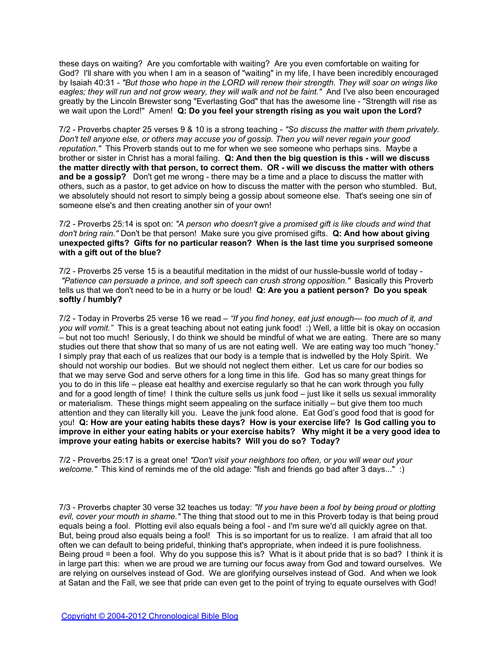these days on waiting? Are you comfortable with waiting? Are you even comfortable on waiting for God? I'll share with you when I am in a season of "waiting" in my life, I have been incredibly encouraged by Isaiah 40:31 - *"But those who hope in the LORD will renew their strength. They will soar on wings like eagles; they will run and not grow weary, they will walk and not be faint."* And I've also been encouraged greatly by the Lincoln Brewster song "Everlasting God" that has the awesome line - "Strength will rise as we wait upon the Lord!" Amen! **Q: Do you feel your strength rising as you wait upon the Lord?**

7/2 - Proverbs chapter 25 verses 9 & 10 is a strong teaching - *"So discuss the matter with them privately. Don't tell anyone else, or others may accuse you of gossip. Then you will never regain your good reputation."* This Proverb stands out to me for when we see someone who perhaps sins. Maybe a brother or sister in Christ has a moral failing. **Q: And then the big question is this - will we discuss the matter directly with that person, to correct them. OR - will we discuss the matter with others and be a gossip?** Don't get me wrong - there may be a time and a place to discuss the matter with others, such as a pastor, to get advice on how to discuss the matter with the person who stumbled. But, we absolutely should not resort to simply being a gossip about someone else. That's seeing one sin of someone else's and then creating another sin of your own!

7/2 - Proverbs 25:14 is spot on: *"A person who doesn't give a promised gift is like clouds and wind that don't bring rain."* Don't be that person! Make sure you give promised gifts. **Q: And how about giving unexpected gifts? Gifts for no particular reason? When is the last time you surprised someone with a gift out of the blue?**

7/2 - Proverbs 25 verse 15 is a beautiful meditation in the midst of our hussle-bussle world of today -  *"Patience can persuade a prince, and soft speech can crush strong opposition."* Basically this Proverb tells us that we don't need to be in a hurry or be loud! **Q: Are you a patient person? Do you speak softly / humbly?**

7/2 - Today in Proverbs 25 verse 16 we read – *"If you find honey, eat just enough— too much of it, and you will vomit."* This is a great teaching about not eating junk food! :) Well, a little bit is okay on occasion – but not too much! Seriously, I do think we should be mindful of what we are eating. There are so many studies out there that show that so many of us are not eating well. We are eating way too much "honey." I simply pray that each of us realizes that our body is a temple that is indwelled by the Holy Spirit. We should not worship our bodies. But we should not neglect them either. Let us care for our bodies so that we may serve God and serve others for a long time in this life. God has so many great things for you to do in this life – please eat healthy and exercise regularly so that he can work through you fully and for a good length of time! I think the culture sells us junk food – just like it sells us sexual immorality or materialism. These things might seem appealing on the surface initially – but give them too much attention and they can literally kill you. Leave the junk food alone. Eat God's good food that is good for you! **Q: How are your eating habits these days? How is your exercise life? Is God calling you to improve in either your eating habits or your exercise habits? Why might it be a very good idea to improve your eating habits or exercise habits? Will you do so? Today?**

7/2 - Proverbs 25:17 is a great one! *"Don't visit your neighbors too often, or you will wear out your welcome.*" This kind of reminds me of the old adage: "fish and friends go bad after 3 days..." :)

7/3 - Proverbs chapter 30 verse 32 teaches us today: *"If you have been a fool by being proud or plotting evil, cover your mouth in shame."* The thing that stood out to me in this Proverb today is that being proud equals being a fool. Plotting evil also equals being a fool - and I'm sure we'd all quickly agree on that. But, being proud also equals being a fool! This is so important for us to realize. I am afraid that all too often we can default to being prideful, thinking that's appropriate, when indeed it is pure foolishness. Being proud = been a fool. Why do you suppose this is? What is it about pride that is so bad? I think it is in large part this: when we are proud we are turning our focus away from God and toward ourselves. We are relying on ourselves instead of God. We are glorifying ourselves instead of God. And when we look at Satan and the Fall, we see that pride can even get to the point of trying to equate ourselves with God!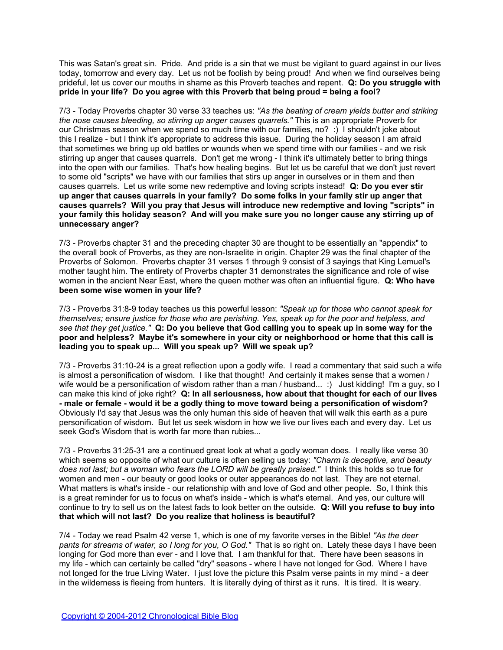This was Satan's great sin. Pride. And pride is a sin that we must be vigilant to guard against in our lives today, tomorrow and every day. Let us not be foolish by being proud! And when we find ourselves being prideful, let us cover our mouths in shame as this Proverb teaches and repent. **Q: Do you struggle with pride in your life? Do you agree with this Proverb that being proud = being a fool?**

7/3 - Today Proverbs chapter 30 verse 33 teaches us: *"As the beating of cream yields butter and striking the nose causes bleeding, so stirring up anger causes quarrels."* This is an appropriate Proverb for our Christmas season when we spend so much time with our families, no? :) I shouldn't joke about this I realize - but I think it's appropriate to address this issue. During the holiday season I am afraid that sometimes we bring up old battles or wounds when we spend time with our families - and we risk stirring up anger that causes quarrels. Don't get me wrong - I think it's ultimately better to bring things into the open with our families. That's how healing begins. But let us be careful that we don't just revert to some old "scripts" we have with our families that stirs up anger in ourselves or in them and then causes quarrels. Let us write some new redemptive and loving scripts instead! **Q: Do you ever stir up anger that causes quarrels in your family? Do some folks in your family stir up anger that causes quarrels? Will you pray that Jesus will introduce new redemptive and loving "scripts" in your family this holiday season? And will you make sure you no longer cause any stirring up of unnecessary anger?**

7/3 - Proverbs chapter 31 and the preceding chapter 30 are thought to be essentially an "appendix" to the overall book of Proverbs, as they are non-Israelite in origin. Chapter 29 was the final chapter of the Proverbs of Solomon. Proverbs chapter 31 verses 1 through 9 consist of 3 sayings that King Lemuel's mother taught him. The entirety of Proverbs chapter 31 demonstrates the significance and role of wise women in the ancient Near East, where the queen mother was often an influential figure. **Q: Who have been some wise women in your life?**

7/3 - Proverbs 31:8-9 today teaches us this powerful lesson: *"Speak up for those who cannot speak for themselves; ensure justice for those who are perishing. Yes, speak up for the poor and helpless, and see that they get justice."* **Q: Do you believe that God calling you to speak up in some way for the poor and helpless? Maybe it's somewhere in your city or neighborhood or home that this call is leading you to speak up... Will you speak up? Will we speak up?**

7/3 - Proverbs 31:10-24 is a great reflection upon a godly wife. I read a commentary that said such a wife is almost a personification of wisdom. I like that thought! And certainly it makes sense that a women / wife would be a personification of wisdom rather than a man / husband... :) Just kidding! I'm a guy, so I can make this kind of joke right? **Q: In all seriousness, how about that thought for each of our lives - male or female - would it be a godly thing to move toward being a personification of wisdom?**  Obviously I'd say that Jesus was the only human this side of heaven that will walk this earth as a pure personification of wisdom. But let us seek wisdom in how we live our lives each and every day. Let us seek God's Wisdom that is worth far more than rubies...

7/3 - Proverbs 31:25-31 are a continued great look at what a godly woman does. I really like verse 30 which seems so opposite of what our culture is often selling us today: *"Charm is deceptive, and beauty does not last; but a woman who fears the LORD will be greatly praised."* I think this holds so true for women and men - our beauty or good looks or outer appearances do not last. They are not eternal. What matters is what's inside - our relationship with and love of God and other people. So, I think this is a great reminder for us to focus on what's inside - which is what's eternal. And yes, our culture will continue to try to sell us on the latest fads to look better on the outside. **Q: Will you refuse to buy into that which will not last? Do you realize that holiness is beautiful?**

7/4 - Today we read Psalm 42 verse 1, which is one of my favorite verses in the Bible! *"As the deer pants for streams of water, so I long for you, O God."* That is so right on. Lately these days I have been longing for God more than ever - and I love that. I am thankful for that. There have been seasons in my life - which can certainly be called "dry" seasons - where I have not longed for God. Where I have not longed for the true Living Water. I just love the picture this Psalm verse paints in my mind - a deer in the wilderness is fleeing from hunters. It is literally dying of thirst as it runs. It is tired. It is weary.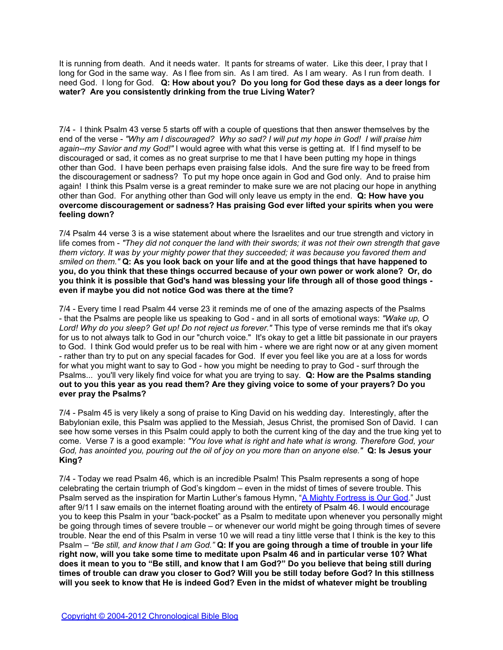It is running from death. And it needs water. It pants for streams of water. Like this deer, I pray that I long for God in the same way. As I flee from sin. As I am tired. As I am weary. As I run from death. I need God. I long for God. **Q: How about you? Do you long for God these days as a deer longs for water? Are you consistently drinking from the true Living Water?**

7/4 - I think Psalm 43 verse 5 starts off with a couple of questions that then answer themselves by the end of the verse - *"Why am I discouraged? Why so sad? I will put my hope in God! I will praise him again--my Savior and my God!"* I would agree with what this verse is getting at. If I find myself to be discouraged or sad, it comes as no great surprise to me that I have been putting my hope in things other than God. I have been perhaps even praising false idols. And the sure fire way to be freed from the discouragement or sadness? To put my hope once again in God and God only. And to praise him again! I think this Psalm verse is a great reminder to make sure we are not placing our hope in anything other than God. For anything other than God will only leave us empty in the end. **Q: How have you overcome discouragement or sadness? Has praising God ever lifted your spirits when you were feeling down?**

7/4 Psalm 44 verse 3 is a wise statement about where the Israelites and our true strength and victory in life comes from - *"They did not conquer the land with their swords; it was not their own strength that gave them victory. It was by your mighty power that they succeeded; it was because you favored them and smiled on them."* **Q: As you look back on your life and at the good things that have happened to you, do you think that these things occurred because of your own power or work alone? Or, do you think it is possible that God's hand was blessing your life through all of those good things even if maybe you did not notice God was there at the time?**

7/4 - Every time I read Psalm 44 verse 23 it reminds me of one of the amazing aspects of the Psalms - that the Psalms are people like us speaking to God - and in all sorts of emotional ways: *"Wake up, O Lord! Why do you sleep? Get up! Do not reject us forever."* This type of verse reminds me that it's okay for us to not always talk to God in our "church voice." It's okay to get a little bit passionate in our prayers to God. I think God would prefer us to be real with him - where we are right now or at any given moment - rather than try to put on any special facades for God. If ever you feel like you are at a loss for words for what you might want to say to God - how you might be needing to pray to God - surf through the Psalms... you'll very likely find voice for what you are trying to say. **Q: How are the Psalms standing out to you this year as you read them? Are they giving voice to some of your prayers? Do you ever pray the Psalms?**

7/4 - Psalm 45 is very likely a song of praise to King David on his wedding day. Interestingly, after the Babylonian exile, this Psalm was applied to the Messiah, Jesus Christ, the promised Son of David. I can see how some verses in this Psalm could apply to both the current king of the day and the true king yet to come. Verse 7 is a good example: *"You love what is right and hate what is wrong. Therefore God, your God, has anointed you, pouring out the oil of joy on you more than on anyone else."* **Q: Is Jesus your King?**

7/4 - Today we read Psalm 46, which is an incredible Psalm! This Psalm represents a song of hope celebrating the certain triumph of God's kingdom – even in the midst of times of severe trouble. This Psalm served as the inspiration for Martin Luther's famous Hymn, "[A](http://www.hymnsite.com/lyrics/umh110.sht) [Mighty](http://www.hymnsite.com/lyrics/umh110.sht) [Fortress](http://www.hymnsite.com/lyrics/umh110.sht) [is](http://www.hymnsite.com/lyrics/umh110.sht) [Our](http://www.hymnsite.com/lyrics/umh110.sht) [God](http://www.hymnsite.com/lyrics/umh110.sht)." Just after 9/11 I saw emails on the internet floating around with the entirety of Psalm 46. I would encourage you to keep this Psalm in your "back-pocket" as a Psalm to meditate upon whenever you personally might be going through times of severe trouble – or whenever our world might be going through times of severe trouble. Near the end of this Psalm in verse 10 we will read a tiny little verse that I think is the key to this Psalm – *"Be still, and know that I am God."* **Q: If you are going through a time of trouble in your life right now, will you take some time to meditate upon Psalm 46 and in particular verse 10? What does it mean to you to "Be still, and know that I am God?" Do you believe that being still during times of trouble can draw you closer to God? Will you be still today before God? In this stillness will you seek to know that He is indeed God? Even in the midst of whatever might be troubling**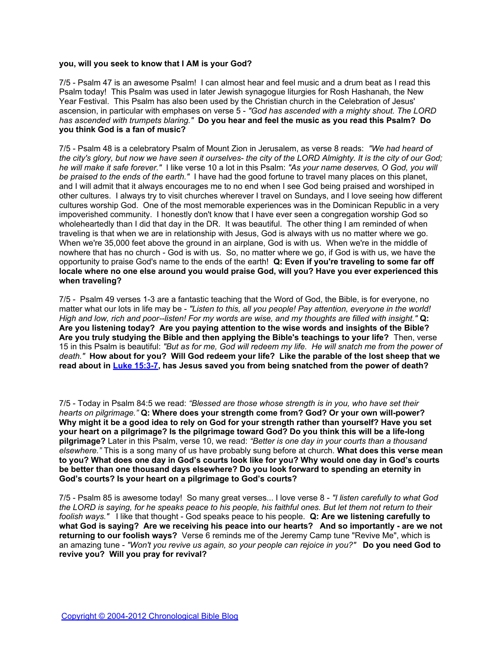### **you, will you seek to know that I AM is your God?**

7/5 - Psalm 47 is an awesome Psalm! I can almost hear and feel music and a drum beat as I read this Psalm today! This Psalm was used in later Jewish synagogue liturgies for Rosh Hashanah, the New Year Festival. This Psalm has also been used by the Christian church in the Celebration of Jesus' ascension, in particular with emphases on verse 5 - *"God has ascended with a mighty shout. The LORD has ascended with trumpets blaring."* **Do you hear and feel the music as you read this Psalm? Do you think God is a fan of music?**

7/5 - Psalm 48 is a celebratory Psalm of Mount Zion in Jerusalem, as verse 8 reads: *"We had heard of the city's glory, but now we have seen it ourselves- the city of the LORD Almighty. It is the city of our God; he will make it safe forever."* I like verse 10 a lot in this Psalm: *"As your name deserves, O God, you will be praised to the ends of the earth."* I have had the good fortune to travel many places on this planet, and I will admit that it always encourages me to no end when I see God being praised and worshiped in other cultures. I always try to visit churches wherever I travel on Sundays, and I love seeing how different cultures worship God. One of the most memorable experiences was in the Dominican Republic in a very impoverished community. I honestly don't know that I have ever seen a congregation worship God so wholeheartedly than I did that day in the DR. It was beautiful. The other thing I am reminded of when traveling is that when we are in relationship with Jesus, God is always with us no matter where we go. When we're 35,000 feet above the ground in an airplane, God is with us. When we're in the middle of nowhere that has no church - God is with us. So, no matter where we go, if God is with us, we have the opportunity to praise God's name to the ends of the earth! **Q: Even if you're traveling to some far off locale where no one else around you would praise God, will you? Have you ever experienced this when traveling?**

7/5 - Psalm 49 verses 1-3 are a fantastic teaching that the Word of God, the Bible, is for everyone, no matter what our lots in life may be - *"Listen to this, all you people! Pay attention, everyone in the world! High and low, rich and poor--listen! For my words are wise, and my thoughts are filled with insight."* **Q: Are you listening today? Are you paying attention to the wise words and insights of the Bible? Are you truly studying the Bible and then applying the Bible's teachings to your life?** Then, verse 15 in this Psalm is beautiful: *"But as for me, God will redeem my life. He will snatch me from the power of death."* **How about for you? Will God redeem your life? Like the parable of the lost sheep that we read about in [Luke 15:3-7,](http://www.biblegateway.com/passage/?search=luke+15:3-7) has Jesus saved you from being snatched from the power of death?**

7/5 - Today in Psalm 84:5 we read: *"Blessed are those whose strength is in you, who have set their hearts on pilgrimage."* **Q: Where does your strength come from? God? Or your own will-power? Why might it be a good idea to rely on God for your strength rather than yourself? Have you set your heart on a pilgrimage? Is the pilgrimage toward God? Do you think this will be a life-long pilgrimage?** Later in this Psalm, verse 10, we read: *"Better is one day in your courts than a thousand elsewhere."* This is a song many of us have probably sung before at church. **What does this verse mean to you? What does one day in God's courts look like for you? Why would one day in God's courts be better than one thousand days elsewhere? Do you look forward to spending an eternity in God's courts? Is your heart on a pilgrimage to God's courts?**

7/5 - Psalm 85 is awesome today! So many great verses... I love verse 8 - *"I listen carefully to what God the LORD is saying, for he speaks peace to his people, his faithful ones. But let them not return to their foolish ways."* I like that thought - God speaks peace to his people. **Q: Are we listening carefully to what God is saying? Are we receiving his peace into our hearts? And so importantly - are we not returning to our foolish ways?** Verse 6 reminds me of the Jeremy Camp tune "Revive Me", which is an amazing tune - *"Won't you revive us again, so your people can rejoice in you?"* **Do you need God to revive you? Will you pray for revival?**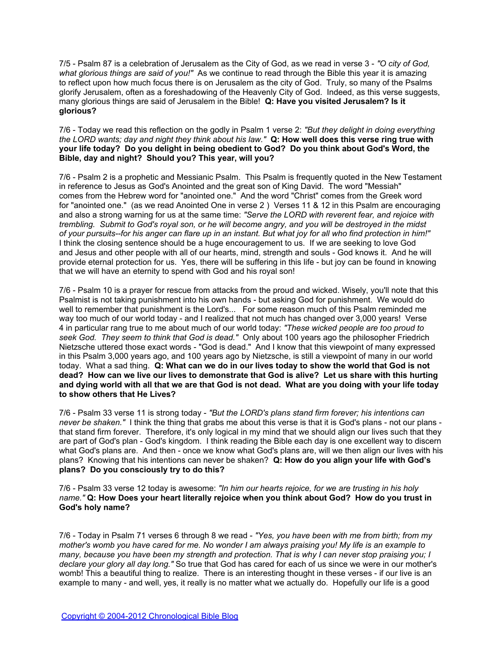7/5 - Psalm 87 is a celebration of Jerusalem as the City of God, as we read in verse 3 - *"O city of God, what glorious things are said of you!"* As we continue to read through the Bible this year it is amazing to reflect upon how much focus there is on Jerusalem as the city of God. Truly, so many of the Psalms glorify Jerusalem, often as a foreshadowing of the Heavenly City of God. Indeed, as this verse suggests, many glorious things are said of Jerusalem in the Bible! **Q: Have you visited Jerusalem? Is it glorious?**

7/6 - Today we read this reflection on the godly in Psalm 1 verse 2: *"But they delight in doing everything the LORD wants; day and night they think about his law."* **Q: How well does this verse ring true with your life today? Do you delight in being obedient to God? Do you think about God's Word, the Bible, day and night? Should you? This year, will you?** 

7/6 - Psalm 2 is a prophetic and Messianic Psalm. This Psalm is frequently quoted in the New Testament in reference to Jesus as God's Anointed and the great son of King David. The word "Messiah" comes from the Hebrew word for "anointed one." And the word "Christ" comes from the Greek word for "anointed one." (as we read Anointed One in verse 2 ) Verses 11 & 12 in this Psalm are encouraging and also a strong warning for us at the same time: *"Serve the LORD with reverent fear, and rejoice with trembling. Submit to God's royal son, or he will become angry, and you will be destroyed in the midst of your pursuits--for his anger can flare up in an instant. But what joy for all who find protection in him!"* I think the closing sentence should be a huge encouragement to us. If we are seeking to love God and Jesus and other people with all of our hearts, mind, strength and souls - God knows it. And he will provide eternal protection for us. Yes, there will be suffering in this life - but joy can be found in knowing that we will have an eternity to spend with God and his royal son!

7/6 - Psalm 10 is a prayer for rescue from attacks from the proud and wicked. Wisely, you'll note that this Psalmist is not taking punishment into his own hands - but asking God for punishment. We would do well to remember that punishment is the Lord's... For some reason much of this Psalm reminded me way too much of our world today - and I realized that not much has changed over 3,000 years! Verse 4 in particular rang true to me about much of our world today: *"These wicked people are too proud to seek God. They seem to think that God is dead."* Only about 100 years ago the philosopher Friedrich Nietzsche uttered those exact words - "God is dead." And I know that this viewpoint of many expressed in this Psalm 3,000 years ago, and 100 years ago by Nietzsche, is still a viewpoint of many in our world today. What a sad thing. **Q: What can we do in our lives today to show the world that God is not dead? How can we live our lives to demonstrate that God is alive? Let us share with this hurting and dying world with all that we are that God is not dead. What are you doing with your life today to show others that He Lives?**

7/6 - Psalm 33 verse 11 is strong today - *"But the LORD's plans stand firm forever; his intentions can never be shaken."* I think the thing that grabs me about this verse is that it is God's plans - not our plans that stand firm forever. Therefore, it's only logical in my mind that we should align our lives such that they are part of God's plan - God's kingdom. I think reading the Bible each day is one excellent way to discern what God's plans are. And then - once we know what God's plans are, will we then align our lives with his plans? Knowing that his intentions can never be shaken? **Q: How do you align your life with God's plans? Do you consciously try to do this?**

7/6 - Psalm 33 verse 12 today is awesome: *"In him our hearts rejoice, for we are trusting in his holy name."* **Q: How Does your heart literally rejoice when you think about God? How do you trust in God's holy name?**

7/6 - Today in Psalm 71 verses 6 through 8 we read - *"Yes, you have been with me from birth; from my mother's womb you have cared for me. No wonder I am always praising you! My life is an example to many, because you have been my strength and protection. That is why I can never stop praising you; I declare your glory all day long."* So true that God has cared for each of us since we were in our mother's womb! This a beautiful thing to realize. There is an interesting thought in these verses - if our live is an example to many - and well, yes, it really is no matter what we actually do. Hopefully our life is a good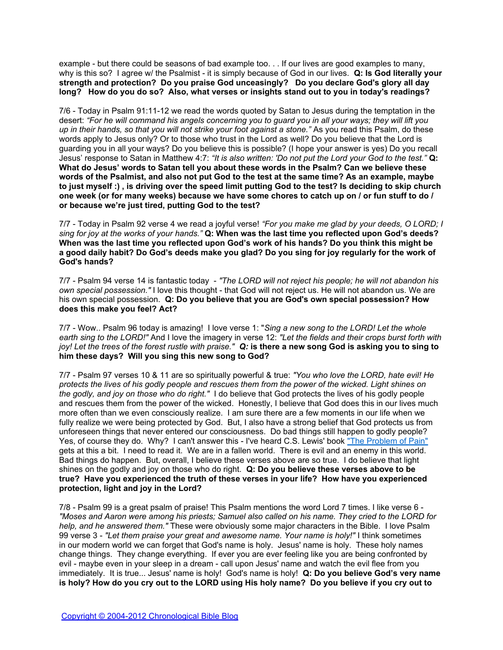example - but there could be seasons of bad example too. . . If our lives are good examples to many, why is this so? I agree w/ the Psalmist - it is simply because of God in our lives. **Q: Is God literally your strength and protection? Do you praise God unceasingly? Do you declare God's glory all day long? How do you do so? Also, what verses or insights stand out to you in today's readings?**

7/6 - Today in Psalm 91:11-12 we read the words quoted by Satan to Jesus during the temptation in the desert: *"For he will command his angels concerning you to guard you in all your ways; they will lift you up in their hands, so that you will not strike your foot against a stone."* As you read this Psalm, do these words apply to Jesus only? Or to those who trust in the Lord as well? Do you believe that the Lord is guarding you in all your ways? Do you believe this is possible? (I hope your answer is yes) Do you recall Jesus' response to Satan in Matthew 4:7: *"It is also written: 'Do not put the Lord your God to the test."* **Q: What do Jesus' words to Satan tell you about these words in the Psalm? Can we believe these words of the Psalmist, and also not put God to the test at the same time? As an example, maybe to just myself :) , is driving over the speed limit putting God to the test? Is deciding to skip church one week (or for many weeks) because we have some chores to catch up on / or fun stuff to do / or because we're just tired, putting God to the test?**

7/7 - Today in Psalm 92 verse 4 we read a joyful verse! *"For you make me glad by your deeds, O LORD; I sing for joy at the works of your hands."* **Q: When was the last time you reflected upon God's deeds? When was the last time you reflected upon God's work of his hands? Do you think this might be a good daily habit? Do God's deeds make you glad? Do you sing for joy regularly for the work of God's hands?**

7/7 - Psalm 94 verse 14 is fantastic today - *"The LORD will not reject his people; he will not abandon his own special possession."* I love this thought - that God will not reject us. He will not abandon us. We are his own special possession. **Q: Do you believe that you are God's own special possession? How does this make you feel? Act?**

7/7 - Wow.. Psalm 96 today is amazing! I love verse 1: "*Sing a new song to the LORD! Let the whole earth sing to the LORD!"* And I love the imagery in verse 12: *"Let the fields and their crops burst forth with joy! Let the trees of the forest rustle with praise." Q:* **is there a new song God is asking you to sing to him these days? Will you sing this new song to God?**

7/7 - Psalm 97 verses 10 & 11 are so spiritually powerful & true: *"You who love the LORD, hate evil! He protects the lives of his godly people and rescues them from the power of the wicked. Light shines on the godly, and joy on those who do right."* I do believe that God protects the lives of his godly people and rescues them from the power of the wicked. Honestly, I believe that God does this in our lives much more often than we even consciously realize. I am sure there are a few moments in our life when we fully realize we were being protected by God. But, I also have a strong belief that God protects us from unforeseen things that never entered our consciousness. Do bad things still happen to godly people? Yes, of course they do. Why? I can't answer this - I've heard C.S. Lewis' book ["The](http://blank/) [Problem](http://blank/) [of](http://blank/) [Pain"](http://blank/) gets at this a bit. I need to read it. We are in a fallen world. There is evil and an enemy in this world. Bad things do happen. But, overall, I believe these verses above are so true. I do believe that light shines on the godly and joy on those who do right. **Q: Do you believe these verses above to be true? Have you experienced the truth of these verses in your life? How have you experienced protection, light and joy in the Lord?**

7/8 - Psalm 99 is a great psalm of praise! This Psalm mentions the word Lord 7 times. I like verse 6 - *"Moses and Aaron were among his priests; Samuel also called on his name. They cried to the LORD for help, and he answered them."* These were obviously some major characters in the Bible. I love Psalm 99 verse 3 - *"Let them praise your great and awesome name. Your name is holy!"* I think sometimes in our modern world we can forget that God's name is holy. Jesus' name is holy. These holy names change things. They change everything. If ever you are ever feeling like you are being confronted by evil - maybe even in your sleep in a dream - call upon Jesus' name and watch the evil flee from you immediately. It is true... Jesus' name is holy! God's name is holy! **Q: Do you believe God's very name is holy? How do you cry out to the LORD using His holy name? Do you believe if you cry out to**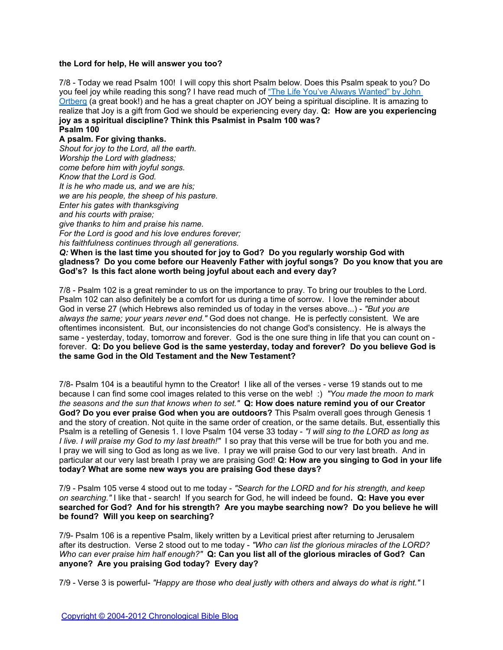## **the Lord for help, He will answer you too?**

7/8 - Today we read Psalm 100! I will copy this short Psalm below. Does this Psalm speak to you? Do you feel joy while reading this song? I have read much of ["The](http://blank/) [Life](http://blank/) [You've](http://blank/) [Always](http://blank/) [Wanted" by](http://blank/) [John](http://blank/) [Ortberg](http://blank/) (a great book!) and he has a great chapter on JOY being a spiritual discipline. It is amazing to realize that Joy is a gift from God we should be experiencing every day. **Q: How are you experiencing joy as a spiritual discipline? Think this Psalmist in Psalm 100 was? Psalm 100**

# **A psalm. For giving thanks.**

*Shout for joy to the Lord, all the earth. Worship the Lord with gladness; come before him with joyful songs. Know that the Lord is God. It is he who made us, and we are his; we are his people, the sheep of his pasture. Enter his gates with thanksgiving and his courts with praise; give thanks to him and praise his name. For the Lord is good and his love endures forever; his faithfulness continues through all generations. Q:* **When is the last time you shouted for joy to God? Do you regularly worship God with** 

# **gladness? Do you come before our Heavenly Father with joyful songs? Do you know that you are God's? Is this fact alone worth being joyful about each and every day?**

7/8 - Psalm 102 is a great reminder to us on the importance to pray. To bring our troubles to the Lord. Psalm 102 can also definitely be a comfort for us during a time of sorrow. I love the reminder about God in verse 27 (which Hebrews also reminded us of today in the verses above...) - *"But you are always the same; your years never end."* God does not change. He is perfectly consistent. We are oftentimes inconsistent. But, our inconsistencies do not change God's consistency. He is always the same - yesterday, today, tomorrow and forever. God is the one sure thing in life that you can count on forever. **Q: Do you believe God is the same yesterday, today and forever? Do you believe God is the same God in the Old Testament and the New Testament?**

7/8- Psalm 104 is a beautiful hymn to the Creator! I like all of the verses - verse 19 stands out to me because I can find some cool images related to this verse on the web! :) *"You made the moon to mark the seasons and the sun that knows when to set."* **Q: How does nature remind you of our Creator God? Do you ever praise God when you are outdoors?** This Psalm overall goes through Genesis 1 and the story of creation. Not quite in the same order of creation, or the same details. But, essentially this Psalm is a retelling of Genesis 1. I love Psalm 104 verse 33 today - *"I will sing to the LORD as long as I live. I will praise my God to my last breath!"* I so pray that this verse will be true for both you and me. I pray we will sing to God as long as we live. I pray we will praise God to our very last breath. And in particular at our very last breath I pray we are praising God! **Q: How are you singing to God in your life today? What are some new ways you are praising God these days?**

7/9 - Psalm 105 verse 4 stood out to me today - *"Search for the LORD and for his strength, and keep on searching."* I like that - search! If you search for God, he will indeed be found**. Q: Have you ever searched for God? And for his strength? Are you maybe searching now? Do you believe he will be found? Will you keep on searching?**

7/9- Psalm 106 is a repentive Psalm, likely written by a Levitical priest after returning to Jerusalem after its destruction. Verse 2 stood out to me today - *"Who can list the glorious miracles of the LORD? Who can ever praise him half enough?"* **Q: Can you list all of the glorious miracles of God? Can anyone? Are you praising God today? Every day?**

7/9 - Verse 3 is powerful- *"Happy are those who deal justly with others and always do what is right."* I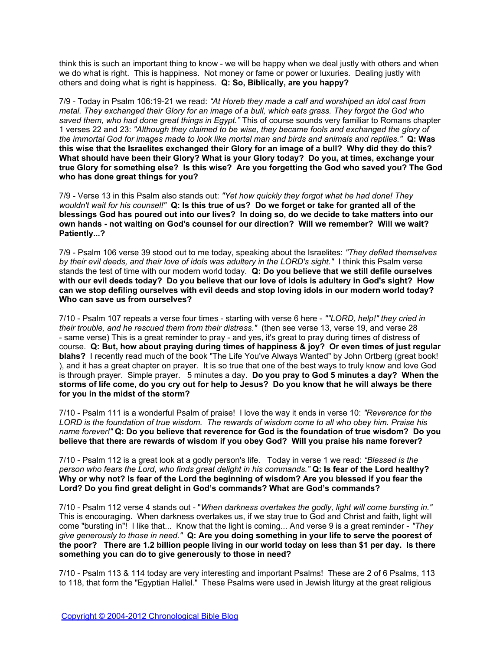think this is such an important thing to know - we will be happy when we deal justly with others and when we do what is right. This is happiness. Not money or fame or power or luxuries. Dealing justly with others and doing what is right is happiness. **Q: So, Biblically, are you happy?**

7/9 - Today in Psalm 106:19-21 we read: *"At Horeb they made a calf and worshiped an idol cast from metal. They exchanged their Glory for an image of a bull, which eats grass. They forgot the God who saved them, who had done great things in Egypt."* This of course sounds very familiar to Romans chapter 1 verses 22 and 23: *"Although they claimed to be wise, they became fools and exchanged the glory of the immortal God for images made to look like mortal man and birds and animals and reptiles."* **Q: Was this wise that the Israelites exchanged their Glory for an image of a bull? Why did they do this? What should have been their Glory? What is your Glory today? Do you, at times, exchange your true Glory for something else? Is this wise? Are you forgetting the God who saved you? The God who has done great things for you?**

7/9 - Verse 13 in this Psalm also stands out: *"Yet how quickly they forgot what he had done! They wouldn't wait for his counsel!"* **Q: Is this true of us? Do we forget or take for granted all of the blessings God has poured out into our lives? In doing so, do we decide to take matters into our own hands - not waiting on God's counsel for our direction? Will we remember? Will we wait? Patiently...?**

7/9 - Psalm 106 verse 39 stood out to me today, speaking about the Israelites: *"They defiled themselves by their evil deeds, and their love of idols was adultery in the LORD's sight."* I think this Psalm verse stands the test of time with our modern world today. **Q: Do you believe that we still defile ourselves with our evil deeds today? Do you believe that our love of idols is adultery in God's sight? How can we stop defiling ourselves with evil deeds and stop loving idols in our modern world today? Who can save us from ourselves?**

7/10 - Psalm 107 repeats a verse four times - starting with verse 6 here - *""LORD, help!" they cried in their trouble, and he rescued them from their distress."* (then see verse 13, verse 19, and verse 28 - same verse) This is a great reminder to pray - and yes, it's great to pray during times of distress of course. **Q: But, how about praying during times of happiness & joy? Or even times of just regular blahs?** I recently read much of the book "The Life You've Always Wanted" by John Ortberg (great book! ), and it has a great chapter on prayer. It is so true that one of the best ways to truly know and love God is through prayer. Simple prayer. 5 minutes a day. **Do you pray to God 5 minutes a day? When the storms of life come, do you cry out for help to Jesus? Do you know that he will always be there for you in the midst of the storm?**

7/10 - Psalm 111 is a wonderful Psalm of praise! I love the way it ends in verse 10: *"Reverence for the LORD is the foundation of true wisdom. The rewards of wisdom come to all who obey him. Praise his name forever!"* **Q: Do you believe that reverence for God is the foundation of true wisdom? Do you believe that there are rewards of wisdom if you obey God? Will you praise his name forever?**

7/10 - Psalm 112 is a great look at a godly person's life. Today in verse 1 we read: *"Blessed is the person who fears the Lord, who finds great delight in his commands."* **Q: Is fear of the Lord healthy? Why or why not? Is fear of the Lord the beginning of wisdom? Are you blessed if you fear the Lord? Do you find great delight in God's commands? What are God's commands?**

7/10 - Psalm 112 verse 4 stands out - "*When darkness overtakes the godly, light will come bursting in."*  This is encouraging. When darkness overtakes us, if we stay true to God and Christ and faith, light will come "bursting in"! I like that... Know that the light is coming... And verse 9 is a great reminder - *"They give generously to those in need."* **Q: Are you doing something in your life to serve the poorest of the poor? There are 1.2 billion people living in our world today on less than \$1 per day. Is there something you can do to give generously to those in need?**

7/10 - Psalm 113 & 114 today are very interesting and important Psalms! These are 2 of 6 Psalms, 113 to 118, that form the "Egyptian Hallel." These Psalms were used in Jewish liturgy at the great religious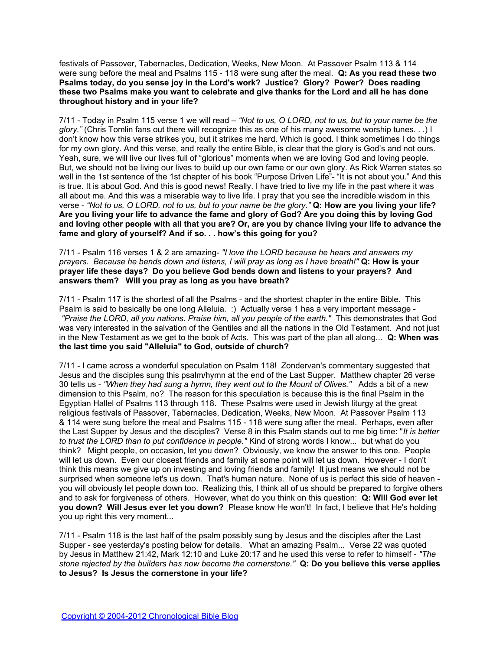festivals of Passover, Tabernacles, Dedication, Weeks, New Moon. At Passover Psalm 113 & 114 were sung before the meal and Psalms 115 - 118 were sung after the meal. **Q: As you read these two Psalms today, do you sense joy in the Lord's work? Justice? Glory? Power? Does reading these two Psalms make you want to celebrate and give thanks for the Lord and all he has done throughout history and in your life?**

7/11 - Today in Psalm 115 verse 1 we will read – *"Not to us, O LORD, not to us, but to your name be the glory."* (Chris Tomlin fans out there will recognize this as one of his many awesome worship tunes. . .) I don't know how this verse strikes you, but it strikes me hard. Which is good. I think sometimes I do things for my own glory. And this verse, and really the entire Bible, is clear that the glory is God's and not ours. Yeah, sure, we will live our lives full of "glorious" moments when we are loving God and loving people. But, we should not be living our lives to build up our own fame or our own glory. As Rick Warren states so well in the 1st sentence of the 1st chapter of his book "Purpose Driven Life"- "It is not about you." And this is true. It is about God. And this is good news! Really. I have tried to live my life in the past where it was all about me. And this was a miserable way to live life. I pray that you see the incredible wisdom in this verse - *"Not to us, O LORD, not to us, but to your name be the glory."* **Q: How are you living your life? Are you living your life to advance the fame and glory of God? Are you doing this by loving God and loving other people with all that you are? Or, are you by chance living your life to advance the fame and glory of yourself? And if so. . . how's this going for you?**

7/11 - Psalm 116 verses 1 & 2 are amazing- *"I love the LORD because he hears and answers my prayers. Because he bends down and listens, I will pray as long as I have breath!"* **Q: How is your prayer life these days? Do you believe God bends down and listens to your prayers? And answers them? Will you pray as long as you have breath?**

7/11 - Psalm 117 is the shortest of all the Psalms - and the shortest chapter in the entire Bible. This Psalm is said to basically be one long Alleluia. :) Actually verse 1 has a very important message -  *"Praise the LORD, all you nations. Praise him, all you people of the earth."* This demonstrates that God was very interested in the salvation of the Gentiles and all the nations in the Old Testament. And not just in the New Testament as we get to the book of Acts. This was part of the plan all along... **Q: When was the last time you said "Alleluia" to God, outside of church?**

7/11 - I came across a wonderful speculation on Psalm 118! Zondervan's commentary suggested that Jesus and the disciples sung this psalm/hymn at the end of the Last Supper. Matthew chapter 26 verse 30 tells us - *"When they had sung a hymn, they went out to the Mount of Olives."* Adds a bit of a new dimension to this Psalm, no? The reason for this speculation is because this is the final Psalm in the Egyptian Hallel of Psalms 113 through 118. These Psalms were used in Jewish liturgy at the great religious festivals of Passover, Tabernacles, Dedication, Weeks, New Moon. At Passover Psalm 113 & 114 were sung before the meal and Psalms 115 - 118 were sung after the meal. Perhaps, even after the Last Supper by Jesus and the disciples? Verse 8 in this Psalm stands out to me big time: "*It is better to trust the LORD than to put confidence in people."* Kind of strong words I know... but what do you think? Might people, on occasion, let you down? Obviously, we know the answer to this one. People will let us down. Even our closest friends and family at some point will let us down. However - I don't think this means we give up on investing and loving friends and family! It just means we should not be surprised when someone let's us down. That's human nature. None of us is perfect this side of heaven you will obviously let people down too. Realizing this, I think all of us should be prepared to forgive others and to ask for forgiveness of others. However, what do you think on this question: **Q: Will God ever let you down? Will Jesus ever let you down?** Please know He won't! In fact, I believe that He's holding you up right this very moment...

7/11 - Psalm 118 is the last half of the psalm possibly sung by Jesus and the disciples after the Last Supper - see yesterday's posting below for details. What an amazing Psalm... Verse 22 was quoted by Jesus in Matthew 21:42, Mark 12:10 and Luke 20:17 and he used this verse to refer to himself - *"The stone rejected by the builders has now become the cornerstone."* **Q: Do you believe this verse applies to Jesus? Is Jesus the cornerstone in your life?**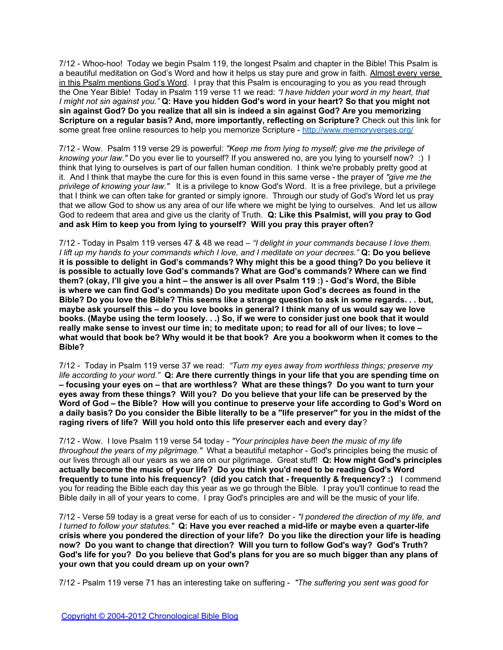7/12 - Whoo-hoo! Today we begin Psalm 119, the longest Psalm and chapter in the Bible! This Psalm is a beautiful meditation on God's Word and how it helps us stay pure and grow in faith. Almost every verse in this Psalm mentions God's Word. I pray that this Psalm is encouraging to you as you read through the One Year Bible! Today in Psalm 119 verse 11 we read: *"I have hidden your word in my heart, that I might not sin against you."* **Q: Have you hidden God's word in your heart? So that you might not sin against God? Do you realize that all sin is indeed a sin against God? Are you memorizing Scripture on a regular basis? And, more importantly, reflecting on Scripture?** Check out this link for some great free online resources to help you memorize Scripture -<http://www.memoryverses.org/>

7/12 - Wow. Psalm 119 verse 29 is powerful: *"Keep me from lying to myself; give me the privilege of knowing your law."* Do you ever lie to yourself? If you answered no, are you lying to yourself now? :) I think that lying to ourselves is part of our fallen human condition. I think we're probably pretty good at it. And I think that maybe the cure for this is even found in this same verse - the prayer of *"give me the privilege of knowing your law."* It is a privilege to know God's Word. It is a free privilege, but a privilege that I think we can often take for granted or simply ignore. Through our study of God's Word let us pray that we allow God to show us any area of our life where we might be lying to ourselves. And let us allow God to redeem that area and give us the clarity of Truth. **Q: Like this Psalmist, will you pray to God and ask Him to keep you from lying to yourself? Will you pray this prayer often?**

7/12 - Today in Psalm 119 verses 47 & 48 we read – *"I delight in your commands because I love them. I lift up my hands to your commands which I love, and I meditate on your decrees."* **Q: Do you believe it is possible to delight in God's commands? Why might this be a good thing? Do you believe it is possible to actually love God's commands? What are God's commands? Where can we find them? (okay, I'll give you a hint – the answer is all over Psalm 119 :) - God's Word, the Bible is where we can find God's commands) Do you meditate upon God's decrees as found in the Bible? Do you love the Bible? This seems like a strange question to ask in some regards. . . but, maybe ask yourself this – do you love books in general? I think many of us would say we love books. (Maybe using the term loosely. . .) So, if we were to consider just one book that it would really make sense to invest our time in; to meditate upon; to read for all of our lives; to love – what would that book be? Why would it be that book? Are you a bookworm when it comes to the Bible?**

7/12 - Today in Psalm 119 verse 37 we read: *"Turn my eyes away from worthless things; preserve my life according to your word."* **Q: Are there currently things in your life that you are spending time on – focusing your eyes on – that are worthless? What are these things? Do you want to turn your eyes away from these things? Will you? Do you believe that your life can be preserved by the Word of God – the Bible? How will you continue to preserve your life according to God's Word on a daily basis? Do you consider the Bible literally to be a "life preserver" for you in the midst of the raging rivers of life? Will you hold onto this life preserver each and every day**?

7/12 - Wow. I love Psalm 119 verse 54 today - *"Your principles have been the music of my life throughout the years of my pilgrimage."* What a beautiful metaphor - God's principles being the music of our lives through all our years as we are on our pilgrimage. Great stuff! **Q: How might God's principles actually become the music of your life? Do you think you'd need to be reading God's Word frequently to tune into his frequency? (did you catch that - frequently & frequency? :)** I commend you for reading the Bible each day this year as we go through the Bible. I pray you'll continue to read the Bible daily in all of your years to come. I pray God's principles are and will be the music of your life.

7/12 - Verse 59 today is a great verse for each of us to consider - *"I pondered the direction of my life, and I turned to follow your statutes."* **Q: Have you ever reached a mid-life or maybe even a quarter-life crisis where you pondered the direction of your life? Do you like the direction your life is heading now? Do you want to change that direction? Will you turn to follow God's way? God's Truth? God's life for you? Do you believe that God's plans for you are so much bigger than any plans of your own that you could dream up on your own?**

7/12 - Psalm 119 verse 71 has an interesting take on suffering - *"The suffering you sent was good for*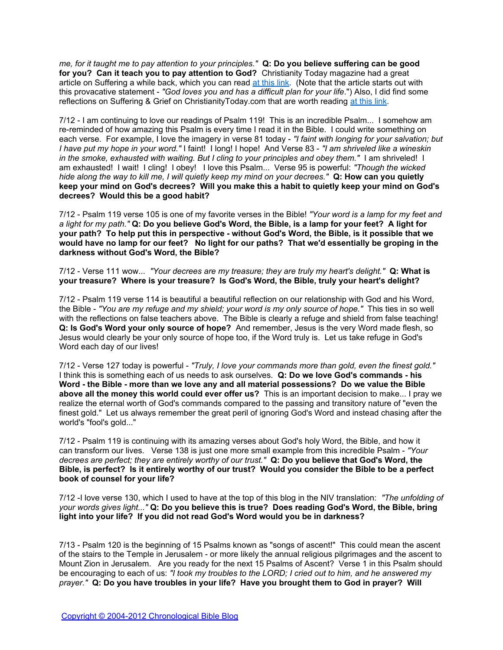*me, for it taught me to pay attention to your principles."* **Q: Do you believe suffering can be good for you? Can it teach you to pay attention to God?** Christianity Today magazine had a great article on Suffering a while back, which you can read [at](http://www.christianitytoday.com/ct/2004/012/20.38.html) [this](http://www.christianitytoday.com/ct/2004/012/20.38.html) [link](http://www.christianitytoday.com/ct/2004/012/20.38.html). (Note that the article starts out with this provacative statement - *"God loves you and has a difficult plan for your life*.") Also, I did find some reflections on Suffering & Grief on ChristianityToday.com that are worth reading [at](http://www.christianitytoday.com/ct/2002/006/28.67.html) [this](http://www.christianitytoday.com/ct/2002/006/28.67.html) [link](http://www.christianitytoday.com/ct/2002/006/28.67.html).

7/12 - I am continuing to love our readings of Psalm 119! This is an incredible Psalm... I somehow am re-reminded of how amazing this Psalm is every time I read it in the Bible. I could write something on each verse. For example, I love the imagery in verse 81 today - *"I faint with longing for your salvation; but I have put my hope in your word."* I faint! I long! I hope! And Verse 83 - *"I am shriveled like a wineskin in the smoke, exhausted with waiting. But I cling to your principles and obey them."* I am shriveled! I am exhausted! I wait! I cling! I obey! I love this Psalm... Verse 95 is powerful: *"Though the wicked hide along the way to kill me, I will quietly keep my mind on your decrees."* **Q: How can you quietly keep your mind on God's decrees? Will you make this a habit to quietly keep your mind on God's decrees? Would this be a good habit?**

7/12 - Psalm 119 verse 105 is one of my favorite verses in the Bible! *"Your word is a lamp for my feet and a light for my path."* **Q: Do you believe God's Word, the Bible, is a lamp for your feet? A light for your path? To help put this in perspective - without God's Word, the Bible, is it possible that we would have no lamp for our feet? No light for our paths? That we'd essentially be groping in the darkness without God's Word, the Bible?**

7/12 - Verse 111 wow... *"Your decrees are my treasure; they are truly my heart's delight."* **Q: What is your treasure? Where is your treasure? Is God's Word, the Bible, truly your heart's delight?**

7/12 - Psalm 119 verse 114 is beautiful a beautiful reflection on our relationship with God and his Word, the Bible - *"You are my refuge and my shield; your word is my only source of hope."* This ties in so well with the reflections on false teachers above. The Bible is clearly a refuge and shield from false teaching! **Q: Is God's Word your only source of hope?** And remember, Jesus is the very Word made flesh, so Jesus would clearly be your only source of hope too, if the Word truly is. Let us take refuge in God's Word each day of our lives!

7/12 - Verse 127 today is powerful - *"Truly, I love your commands more than gold, even the finest gold."* I think this is something each of us needs to ask ourselves. **Q: Do we love God's commands - his Word - the Bible - more than we love any and all material possessions? Do we value the Bible above all the money this world could ever offer us?** This is an important decision to make... I pray we realize the eternal worth of God's commands compared to the passing and transitory nature of "even the finest gold." Let us always remember the great peril of ignoring God's Word and instead chasing after the world's "fool's gold..."

7/12 - Psalm 119 is continuing with its amazing verses about God's holy Word, the Bible, and how it can transform our lives. Verse 138 is just one more small example from this incredible Psalm - *"Your decrees are perfect; they are entirely worthy of our trust."* **Q: Do you believe that God's Word, the Bible, is perfect? Is it entirely worthy of our trust? Would you consider the Bible to be a perfect book of counsel for your life?**

7/12 -I love verse 130, which I used to have at the top of this blog in the NIV translation: *"The unfolding of your words gives light..."* **Q: Do you believe this is true? Does reading God's Word, the Bible, bring light into your life? If you did not read God's Word would you be in darkness?**

7/13 - Psalm 120 is the beginning of 15 Psalms known as "songs of ascent!" This could mean the ascent of the stairs to the Temple in Jerusalem - or more likely the annual religious pilgrimages and the ascent to Mount Zion in Jerusalem. Are you ready for the next 15 Psalms of Ascent? Verse 1 in this Psalm should be encouraging to each of us: *"I took my troubles to the LORD; I cried out to him, and he answered my prayer."* **Q: Do you have troubles in your life? Have you brought them to God in prayer? Will**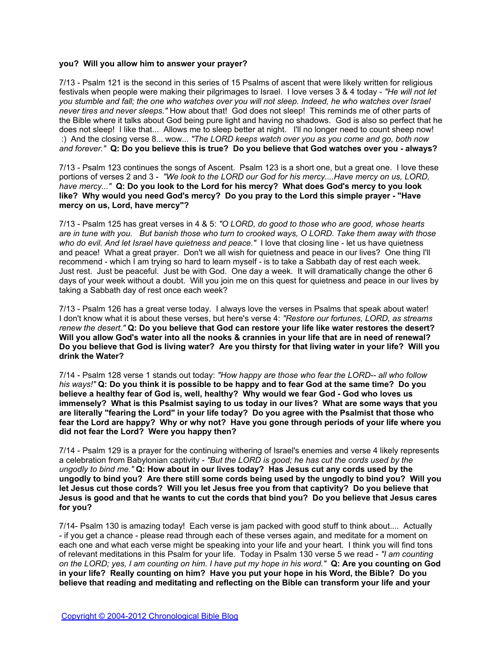### **you? Will you allow him to answer your prayer?**

7/13 - Psalm 121 is the second in this series of 15 Psalms of ascent that were likely written for religious festivals when people were making their pilgrimages to Israel. I love verses 3 & 4 today - *"He will not let you stumble and fall; the one who watches over you will not sleep. Indeed, he who watches over Israel never tires and never sleeps."* How about that! God does not sleep! This reminds me of other parts of the Bible where it talks about God being pure light and having no shadows. God is also so perfect that he does not sleep! I like that... Allows me to sleep better at night. I'll no longer need to count sheep now! :) And the closing verse 8... wow... *"The LORD keeps watch over you as you come and go, both now and forever."* **Q: Do you believe this is true? Do you believe that God watches over you - always?**

7/13 - Psalm 123 continues the songs of Ascent. Psalm 123 is a short one, but a great one. I love these portions of verses 2 and 3 - *"We look to the LORD our God for his mercy....Have mercy on us, LORD, have mercy..."* **Q: Do you look to the Lord for his mercy? What does God's mercy to you look like? Why would you need God's mercy? Do you pray to the Lord this simple prayer - "Have mercy on us, Lord, have mercy"?** 

7/13 - Psalm 125 has great verses in 4 & 5: *"O LORD, do good to those who are good, whose hearts are in tune with you. But banish those who turn to crooked ways, O LORD. Take them away with those who do evil. And let Israel have quietness and peace."* I love that closing line - let us have quietness and peace! What a great prayer. Don't we all wish for quietness and peace in our lives? One thing I'll recommend - which I am trying so hard to learn myself - is to take a Sabbath day of rest each week. Just rest. Just be peaceful. Just be with God. One day a week. It will dramatically change the other 6 days of your week without a doubt. Will you join me on this quest for quietness and peace in our lives by taking a Sabbath day of rest once each week?

7/13 - Psalm 126 has a great verse today. I always love the verses in Psalms that speak about water! I don't know what it is about these verses, but here's verse 4: *"Restore our fortunes, LORD, as streams renew the desert."* **Q: Do you believe that God can restore your life like water restores the desert? Will you allow God's water into all the nooks & crannies in your life that are in need of renewal? Do you believe that God is living water? Are you thirsty for that living water in your life? Will you drink the Water?**

7/14 - Psalm 128 verse 1 stands out today: *"How happy are those who fear the LORD-- all who follow his ways!"* **Q: Do you think it is possible to be happy and to fear God at the same time? Do you believe a healthy fear of God is, well, healthy? Why would we fear God - God who loves us immensely? What is this Psalmist saying to us today in our lives? What are some ways that you are literally "fearing the Lord" in your life today? Do you agree with the Psalmist that those who fear the Lord are happy? Why or why not? Have you gone through periods of your life where you did not fear the Lord? Were you happy then?** 

7/14 - Psalm 129 is a prayer for the continuing withering of Israel's enemies and verse 4 likely represents a celebration from Babylonian captivity - *"But the LORD is good; he has cut the cords used by the ungodly to bind me."* **Q: How about in our lives today? Has Jesus cut any cords used by the ungodly to bind you? Are there still some cords being used by the ungodly to bind you? Will you let Jesus cut those cords? Will you let Jesus free you from that captivity? Do you believe that Jesus is good and that he wants to cut the cords that bind you? Do you believe that Jesus cares for you?**

7/14- Psalm 130 is amazing today! Each verse is jam packed with good stuff to think about.... Actually - if you get a chance - please read through each of these verses again, and meditate for a moment on each one and what each verse might be speaking into your life and your heart. I think you will find tons of relevant meditations in this Psalm for your life. Today in Psalm 130 verse 5 we read - *"I am counting on the LORD; yes, I am counting on him. I have put my hope in his word."* **Q: Are you counting on God in your life? Really counting on him? Have you put your hope in his Word, the Bible? Do you believe that reading and meditating and reflecting on the Bible can transform your life and your**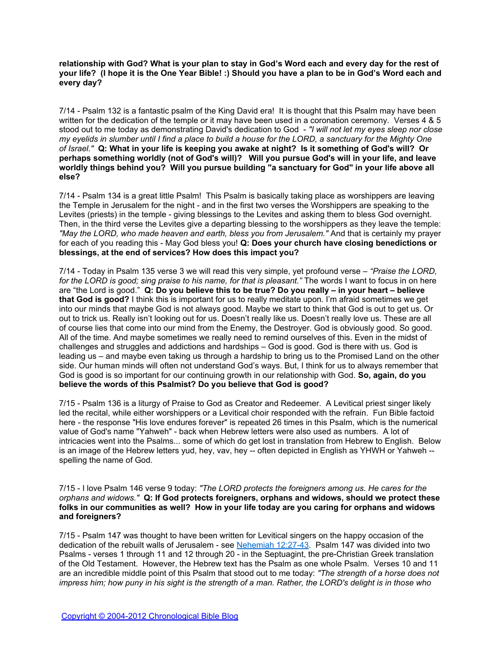**relationship with God? What is your plan to stay in God's Word each and every day for the rest of your life? (I hope it is the One Year Bible! :) Should you have a plan to be in God's Word each and every day?**

7/14 - Psalm 132 is a fantastic psalm of the King David era! It is thought that this Psalm may have been written for the dedication of the temple or it may have been used in a coronation ceremony. Verses 4 & 5 stood out to me today as demonstrating David's dedication to God - *"I will not let my eyes sleep nor close my eyelids in slumber until I find a place to build a house for the LORD, a sanctuary for the Mighty One of Israel."* **Q: What in your life is keeping you awake at night? Is it something of God's will? Or perhaps something worldly (not of God's will)? Will you pursue God's will in your life, and leave worldly things behind you? Will you pursue building "a sanctuary for God" in your life above all else?**

7/14 - Psalm 134 is a great little Psalm! This Psalm is basically taking place as worshippers are leaving the Temple in Jerusalem for the night - and in the first two verses the Worshippers are speaking to the Levites (priests) in the temple - giving blessings to the Levites and asking them to bless God overnight. Then, in the third verse the Levites give a departing blessing to the worshippers as they leave the temple: *"May the LORD, who made heaven and earth, bless you from Jerusalem."* And that is certainly my prayer for each of you reading this - May God bless you! **Q: Does your church have closing benedictions or blessings, at the end of services? How does this impact you?**

7/14 - Today in Psalm 135 verse 3 we will read this very simple, yet profound verse – *"Praise the LORD, for the LORD is good; sing praise to his name, for that is pleasant."* The words I want to focus in on here are "the Lord is good." **Q: Do you believe this to be true? Do you really – in your heart – believe that God is good?** I think this is important for us to really meditate upon. I'm afraid sometimes we get into our minds that maybe God is not always good. Maybe we start to think that God is out to get us. Or out to trick us. Really isn't looking out for us. Doesn't really like us. Doesn't really love us. These are all of course lies that come into our mind from the Enemy, the Destroyer. God is obviously good. So good. All of the time. And maybe sometimes we really need to remind ourselves of this. Even in the midst of challenges and struggles and addictions and hardships – God is good. God is there with us. God is leading us – and maybe even taking us through a hardship to bring us to the Promised Land on the other side. Our human minds will often not understand God's ways. But, I think for us to always remember that God is good is so important for our continuing growth in our relationship with God. **So, again, do you believe the words of this Psalmist? Do you believe that God is good?**

7/15 - Psalm 136 is a liturgy of Praise to God as Creator and Redeemer. A Levitical priest singer likely led the recital, while either worshippers or a Levitical choir responded with the refrain. Fun Bible factoid here - the response "His love endures forever" is repeated 26 times in this Psalm, which is the numerical value of God's name "Yahweh" - back when Hebrew letters were also used as numbers. A lot of intricacies went into the Psalms... some of which do get lost in translation from Hebrew to English. Below is an image of the Hebrew letters yud, hey, vav, hey -- often depicted in English as YHWH or Yahweh - spelling the name of God.

7/15 - I love Psalm 146 verse 9 today: *"The LORD protects the foreigners among us. He cares for the orphans and widows."* **Q: If God protects foreigners, orphans and widows, should we protect these folks in our communities as well? How in your life today are you caring for orphans and widows and foreigners?**

7/15 - Psalm 147 was thought to have been written for Levitical singers on the happy occasion of the dedication of the rebuilt walls of Jerusalem - see [Nehemiah 12:27-43](http://www.biblegateway.com/passage/?search=Nehemiah+12:27-43). Psalm 147 was divided into two Psalms - verses 1 through 11 and 12 through 20 - in the Septuagint, the pre-Christian Greek translation of the Old Testament. However, the Hebrew text has the Psalm as one whole Psalm. Verses 10 and 11 are an incredible middle point of this Psalm that stood out to me today: *"The strength of a horse does not impress him; how puny in his sight is the strength of a man. Rather, the LORD's delight is in those who*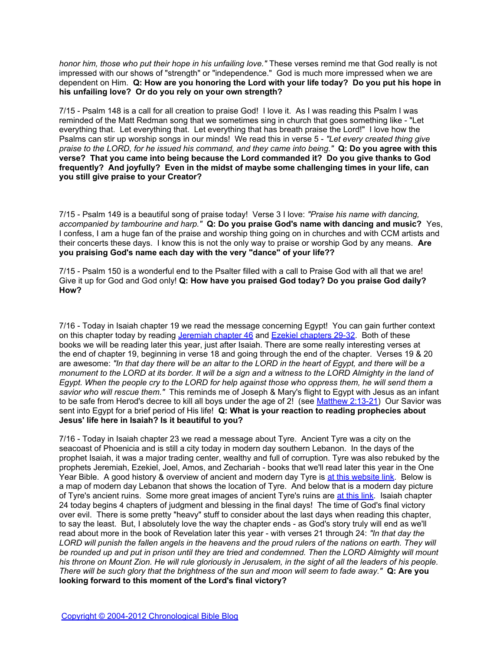*honor him, those who put their hope in his unfailing love."* These verses remind me that God really is not impressed with our shows of "strength" or "independence." God is much more impressed when we are dependent on Him. **Q: How are you honoring the Lord with your life today? Do you put his hope in his unfailing love? Or do you rely on your own strength?**

7/15 - Psalm 148 is a call for all creation to praise God! I love it. As I was reading this Psalm I was reminded of the Matt Redman song that we sometimes sing in church that goes something like - "Let everything that. Let everything that. Let everything that has breath praise the Lord!" I love how the Psalms can stir up worship songs in our minds! We read this in verse 5 - *"Let every created thing give praise to the LORD, for he issued his command, and they came into being."* **Q: Do you agree with this verse? That you came into being because the Lord commanded it? Do you give thanks to God frequently? And joyfully? Even in the midst of maybe some challenging times in your life, can you still give praise to your Creator?** 

7/15 - Psalm 149 is a beautiful song of praise today! Verse 3 I love: *"Praise his name with dancing, accompanied by tambourine and harp."* **Q: Do you praise God's name with dancing and music?** Yes, I confess, I am a huge fan of the praise and worship thing going on in churches and with CCM artists and their concerts these days. I know this is not the only way to praise or worship God by any means. **Are you praising God's name each day with the very "dance" of your life??**

7/15 - Psalm 150 is a wonderful end to the Psalter filled with a call to Praise God with all that we are! Give it up for God and God only! **Q: How have you praised God today? Do you praise God daily? How?**

7/16 - Today in Isaiah chapter 19 we read the message concerning Egypt! You can gain further context on this chapter today by reading [Jeremiah](http://www.biblegateway.com/passage/?search=jeremiah+46) [chapter 46](http://www.biblegateway.com/passage/?search=jeremiah+46) and [Ezekiel](http://www.biblegateway.com/passage/?search=ezekiel+29-32) [chapters 29-32](http://www.biblegateway.com/passage/?search=ezekiel+29-32). Both of these books we will be reading later this year, just after Isaiah. There are some really interesting verses at the end of chapter 19, beginning in verse 18 and going through the end of the chapter. Verses 19 & 20 are awesome: *"In that day there will be an altar to the LORD in the heart of Egypt, and there will be a monument to the LORD at its border. It will be a sign and a witness to the LORD Almighty in the land of Egypt. When the people cry to the LORD for help against those who oppress them, he will send them a savior who will rescue them."* This reminds me of Joseph & Mary's flight to Egypt with Jesus as an infant to be safe from Herod's decree to kill all boys under the age of 2! (see [Matthew 2:13-21](http://www.biblegateway.com/passage/?search=Matthew+2:13-21)) Our Savior was sent into Egypt for a brief period of His life! **Q: What is your reaction to reading prophecies about Jesus' life here in Isaiah? Is it beautiful to you?**

7/16 - Today in Isaiah chapter 23 we read a message about Tyre. Ancient Tyre was a city on the seacoast of Phoenicia and is still a city today in modern day southern Lebanon. In the days of the prophet Isaiah, it was a major trading center, wealthy and full of corruption. Tyre was also rebuked by the prophets Jeremiah, Ezekiel, Joel, Amos, and Zechariah - books that we'll read l[at](http://www.middleeast.com/tyre.htm)er this year in the One Year Bible. A good history & overview of ancient and modern day Tyre is [at](http://www.middleeast.com/tyre.htm) [this](http://www.middleeast.com/tyre.htm) [website](http://www.middleeast.com/tyre.htm) [link.](http://www.middleeast.com/tyre.htm) Below is a map of modern day Lebanon that shows the location of Tyre. And below that is a modern day picture of Tyre's ancient ruins. Some more great images of ancient Tyre's ruins are [at](http://www.galenfrysinger.com/tyre.htm) [this](http://www.galenfrysinger.com/tyre.htm) [link.](http://www.galenfrysinger.com/tyre.htm) Isaiah chapter 24 today begins 4 chapters of judgment and blessing in the final days! The time of God's final victory over evil. There is some pretty "heavy" stuff to consider about the last days when reading this chapter, to say the least. But, I absolutely love the way the chapter ends - as God's story truly will end as we'll read about more in the book of Revelation later this year - with verses 21 through 24: *"In that day the LORD will punish the fallen angels in the heavens and the proud rulers of the nations on earth. They will be rounded up and put in prison until they are tried and condemned. Then the LORD Almighty will mount his throne on Mount Zion. He will rule gloriously in Jerusalem, in the sight of all the leaders of his people. There will be such glory that the brightness of the sun and moon will seem to fade away."* **Q: Are you looking forward to this moment of the Lord's final victory?**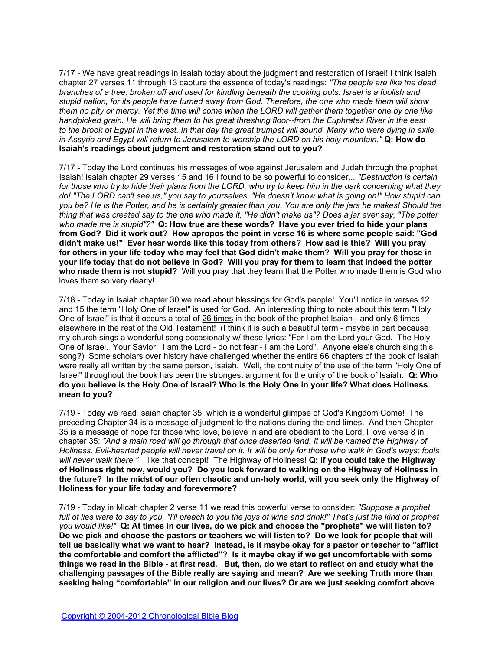7/17 - We have great readings in Isaiah today about the judgment and restoration of Israel! I think Isaiah chapter 27 verses 11 through 13 capture the essence of today's readings: *"The people are like the dead branches of a tree, broken off and used for kindling beneath the cooking pots. Israel is a foolish and stupid nation, for its people have turned away from God. Therefore, the one who made them will show them no pity or mercy. Yet the time will come when the LORD will gather them together one by one like handpicked grain. He will bring them to his great threshing floor--from the Euphrates River in the east to the brook of Egypt in the west. In that day the great trumpet will sound. Many who were dying in exile in Assyria and Egypt will return to Jerusalem to worship the LORD on his holy mountain."* **Q: How do Isaiah's readings about judgment and restoration stand out to you?**

7/17 - Today the Lord continues his messages of woe against Jerusalem and Judah through the prophet Isaiah! Isaiah chapter 29 verses 15 and 16 I found to be so powerful to consider... *"Destruction is certain for those who try to hide their plans from the LORD, who try to keep him in the dark concerning what they do! "The LORD can't see us," you say to yourselves. "He doesn't know what is going on!" How stupid can you be? He is the Potter, and he is certainly greater than you. You are only the jars he makes! Should the thing that was created say to the one who made it, "He didn't make us"? Does a jar ever say, "The potter who made me is stupid"?"* **Q: How true are these words? Have you ever tried to hide your plans from God? Did it work out? How apropos the point in verse 16 is where some people said: "God didn't make us!" Ever hear words like this today from others? How sad is this? Will you pray for others in your life today who may feel that God didn't make them? Will you pray for those in your life today that do not believe in God? Will you pray for them to learn that indeed the potter who made them is not stupid?** Will you pray that they learn that the Potter who made them is God who loves them so very dearly!

7/18 - Today in Isaiah chapter 30 we read about blessings for God's people! You'll notice in verses 12 and 15 the term "Holy One of Israel" is used for God. An interesting thing to note about this term "Holy One of Israel" is that it occurs a total of 26 times in the book of the prophet Isaiah - and only 6 times elsewhere in the rest of the Old Testament! (I think it is such a beautiful term - maybe in part because my church sings a wonderful song occasionally w/ these lyrics: "For I am the Lord your God. The Holy One of Israel. Your Savior. I am the Lord - do not fear - I am the Lord". Anyone else's church sing this song?) Some scholars over history have challenged whether the entire 66 chapters of the book of Isaiah were really all written by the same person, Isaiah. Well, the continuity of the use of the term "Holy One of Israel" throughout the book has been the strongest argument for the unity of the book of Isaiah. **Q: Who do you believe is the Holy One of Israel? Who is the Holy One in your life? What does Holiness mean to you?**

7/19 - Today we read Isaiah chapter 35, which is a wonderful glimpse of God's Kingdom Come! The preceding Chapter 34 is a message of judgment to the nations during the end times. And then Chapter 35 is a message of hope for those who love, believe in and are obedient to the Lord. I love verse 8 in chapter 35: *"And a main road will go through that once deserted land. It will be named the Highway of Holiness. Evil-hearted people will never travel on it. It will be only for those who walk in God's ways; fools will never walk there."* I like that concept! The Highway of Holiness! **Q: If you could take the Highway of Holiness right now, would you? Do you look forward to walking on the Highway of Holiness in the future? In the midst of our often chaotic and un-holy world, will you seek only the Highway of Holiness for your life today and forevermore?**

7/19 - Today in Micah chapter 2 verse 11 we read this powerful verse to consider: *"Suppose a prophet full of lies were to say to you, "I'll preach to you the joys of wine and drink!" That's just the kind of prophet you would like!"* **Q: At times in our lives, do we pick and choose the "prophets" we will listen to? Do we pick and choose the pastors or teachers we will listen to? Do we look for people that will tell us basically what we want to hear? Instead, is it maybe okay for a pastor or teacher to "afflict the comfortable and comfort the afflicted"? Is it maybe okay if we get uncomfortable with some things we read in the Bible - at first read. But, then, do we start to reflect on and study what the challenging passages of the Bible really are saying and mean? Are we seeking Truth more than seeking being "comfortable" in our religion and our lives? Or are we just seeking comfort above**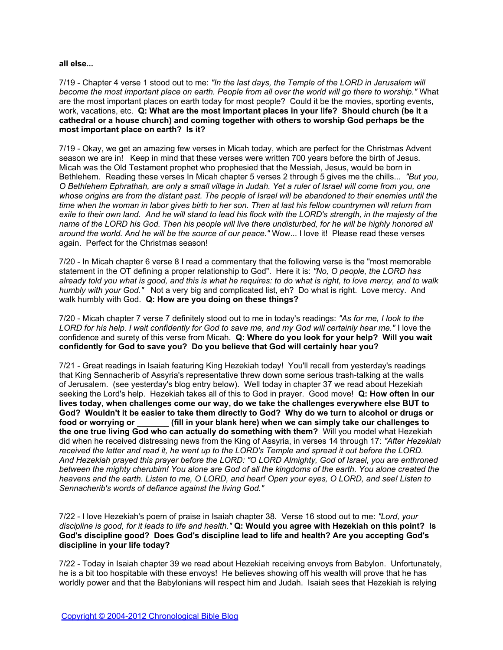### **all else...**

7/19 - Chapter 4 verse 1 stood out to me: *"In the last days, the Temple of the LORD in Jerusalem will become the most important place on earth. People from all over the world will go there to worship."* What are the most important places on earth today for most people? Could it be the movies, sporting events, work, vacations, etc. **Q: What are the most important places in your life? Should church (be it a cathedral or a house church) and coming together with others to worship God perhaps be the most important place on earth? Is it?**

7/19 - Okay, we get an amazing few verses in Micah today, which are perfect for the Christmas Advent season we are in! Keep in mind that these verses were written 700 years before the birth of Jesus. Micah was the Old Testament prophet who prophesied that the Messiah, Jesus, would be born in Bethlehem. Reading these verses In Micah chapter 5 verses 2 through 5 gives me the chills... *"But you, O Bethlehem Ephrathah, are only a small village in Judah. Yet a ruler of Israel will come from you, one whose origins are from the distant past. The people of Israel will be abandoned to their enemies until the time when the woman in labor gives birth to her son. Then at last his fellow countrymen will return from exile to their own land. And he will stand to lead his flock with the LORD's strength, in the majesty of the name of the LORD his God. Then his people will live there undisturbed, for he will be highly honored all around the world. And he will be the source of our peace."* Wow... I love it! Please read these verses again. Perfect for the Christmas season!

7/20 - In Micah chapter 6 verse 8 I read a commentary that the following verse is the "most memorable statement in the OT defining a proper relationship to God". Here it is: *"No, O people, the LORD has already told you what is good, and this is what he requires: to do what is right, to love mercy, and to walk humbly with your God."* Not a very big and complicated list, eh? Do what is right. Love mercy. And walk humbly with God. **Q: How are you doing on these things?**

7/20 - Micah chapter 7 verse 7 definitely stood out to me in today's readings: *"As for me, I look to the LORD for his help. I wait confidently for God to save me, and my God will certainly hear me."* I love the confidence and surety of this verse from Micah. **Q: Where do you look for your help? Will you wait confidently for God to save you? Do you believe that God will certainly hear you?**

7/21 - Great readings in Isaiah featuring King Hezekiah today! You'll recall from yesterday's readings that King Sennacherib of Assyria's representative threw down some serious trash-talking at the walls of Jerusalem. (see yesterday's blog entry below). Well today in chapter 37 we read about Hezekiah seeking the Lord's help. Hezekiah takes all of this to God in prayer. Good move! **Q: How often in our lives today, when challenges come our way, do we take the challenges everywhere else BUT to God? Wouldn't it be easier to take them directly to God? Why do we turn to alcohol or drugs or food or worrying or \_\_\_\_\_\_\_ (fill in your blank here) when we can simply take our challenges to the one true living God who can actually do something with them?** Will you model what Hezekiah did when he received distressing news from the King of Assyria, in verses 14 through 17: *"After Hezekiah received the letter and read it, he went up to the LORD's Temple and spread it out before the LORD. And Hezekiah prayed this prayer before the LORD: "O LORD Almighty, God of Israel, you are enthroned between the mighty cherubim! You alone are God of all the kingdoms of the earth. You alone created the heavens and the earth. Listen to me, O LORD, and hear! Open your eyes, O LORD, and see! Listen to Sennacherib's words of defiance against the living God."*

7/22 - I love Hezekiah's poem of praise in Isaiah chapter 38. Verse 16 stood out to me: *"Lord, your discipline is good, for it leads to life and health."* **Q: Would you agree with Hezekiah on this point? Is God's discipline good? Does God's discipline lead to life and health? Are you accepting God's discipline in your life today?**

7/22 - Today in Isaiah chapter 39 we read about Hezekiah receiving envoys from Babylon. Unfortunately, he is a bit too hospitable with these envoys! He believes showing off his wealth will prove that he has worldly power and that the Babylonians will respect him and Judah. Isaiah sees that Hezekiah is relying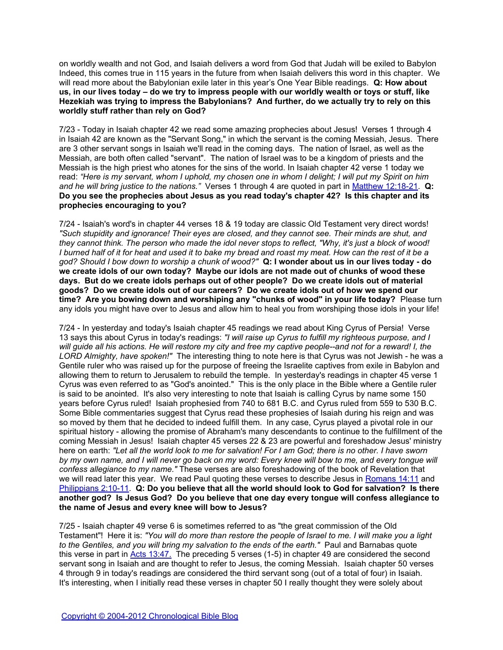on worldly wealth and not God, and Isaiah delivers a word from God that Judah will be exiled to Babylon Indeed, this comes true in 115 years in the future from when Isaiah delivers this word in this chapter. We will read more about the Babylonian exile later in this year's One Year Bible readings. **Q: How about us, in our lives today – do we try to impress people with our worldly wealth or toys or stuff, like Hezekiah was trying to impress the Babylonians? And further, do we actually try to rely on this worldly stuff rather than rely on God?**

7/23 - Today in Isaiah chapter 42 we read some amazing prophecies about Jesus! Verses 1 through 4 in Isaiah 42 are known as the "Servant Song," in which the servant is the coming Messiah, Jesus. There are 3 other servant songs in Isaiah we'll read in the coming days. The nation of Israel, as well as the Messiah, are both often called "servant". The nation of Israel was to be a kingdom of priests and the Messiah is the high priest who atones for the sins of the world. In Isaiah chapter 42 verse 1 today we read: *"Here is my servant, whom I uphold, my chosen one in whom I delight; I will put my Spirit on him and he will bring justice to the nations."* Verses 1 through 4 are quoted in part in [Matthew 12:18-21.](http://www.biblegateway.com/passage/?search=Matthew+12:15-21) **Q: Do you see the prophecies about Jesus as you read today's chapter 42? Is this chapter and its prophecies encouraging to you?**

7/24 - Isaiah's word's in chapter 44 verses 18 & 19 today are classic Old Testament very direct words! *"Such stupidity and ignorance! Their eyes are closed, and they cannot see. Their minds are shut, and they cannot think. The person who made the idol never stops to reflect, "Why, it's just a block of wood! I burned half of it for heat and used it to bake my bread and roast my meat. How can the rest of it be a god? Should I bow down to worship a chunk of wood?"* **Q: I wonder about us in our lives today - do we create idols of our own today? Maybe our idols are not made out of chunks of wood these days. But do we create idols perhaps out of other people? Do we create idols out of material goods? Do we create idols out of our careers? Do we create idols out of how we spend our time? Are you bowing down and worshiping any "chunks of wood" in your life today?** Please turn any idols you might have over to Jesus and allow him to heal you from worshiping those idols in your life!

7/24 - In yesterday and today's Isaiah chapter 45 readings we read about King Cyrus of Persia! Verse 13 says this about Cyrus in today's readings: *"I will raise up Cyrus to fulfill my righteous purpose, and I will guide all his actions. He will restore my city and free my captive people--and not for a reward! I, the LORD Almighty, have spoken!"* The interesting thing to note here is that Cyrus was not Jewish - he was a Gentile ruler who was raised up for the purpose of freeing the Israelite captives from exile in Babylon and allowing them to return to Jerusalem to rebuild the temple. In yesterday's readings in chapter 45 verse 1 Cyrus was even referred to as "God's anointed." This is the only place in the Bible where a Gentile ruler is said to be anointed. It's also very interesting to note that Isaiah is calling Cyrus by name some 150 years before Cyrus ruled! Isaiah prophesied from 740 to 681 B.C. and Cyrus ruled from 559 to 530 B.C. Some Bible commentaries suggest that Cyrus read these prophesies of Isaiah during his reign and was so moved by them that he decided to indeed fulfill them. In any case, Cyrus played a pivotal role in our spiritual history - allowing the promise of Abraham's many descendants to continue to the fulfillment of the coming Messiah in Jesus! Isaiah chapter 45 verses 22 & 23 are powerful and foreshadow Jesus' ministry here on earth: *"Let all the world look to me for salvation! For I am God; there is no other. I have sworn by my own name, and I will never go back on my word: Every knee will bow to me, and every tongue will confess allegiance to my name."* These verses are also foreshadowing of the book of Revelation that we will read later this year. We read Paul quoting these verses to describe Jesus in [Romans 14:11](http://www.biblegateway.com/passage/?search=Romans+14:11) and [Philippians 2:10-11](http://www.biblegateway.com/passage/?search=Philippians+2:9-11). **Q: Do you believe that all the world should look to God for salvation? Is there another god? Is Jesus God? Do you believe that one day every tongue will confess allegiance to the name of Jesus and every knee will bow to Jesus?** 

7/25 - Isaiah chapter 49 verse 6 is sometimes referred to as "the great commission of the Old Testament"! Here it is: *"You will do more than restore the people of Israel to me. I will make you a light to the Gentiles, and you will bring my salvation to the ends of the earth."* Paul and Barnabas quote this verse in part in **[Acts 13:47.](http://www.biblegateway.com/passage/?search=Acts+13:44-48)** The preceding 5 verses (1-5) in chapter 49 are considered the second servant song in Isaiah and are thought to refer to Jesus, the coming Messiah. Isaiah chapter 50 verses 4 through 9 in today's readings are considered the third servant song (out of a total of four) in Isaiah. It's interesting, when I initially read these verses in chapter 50 I really thought they were solely about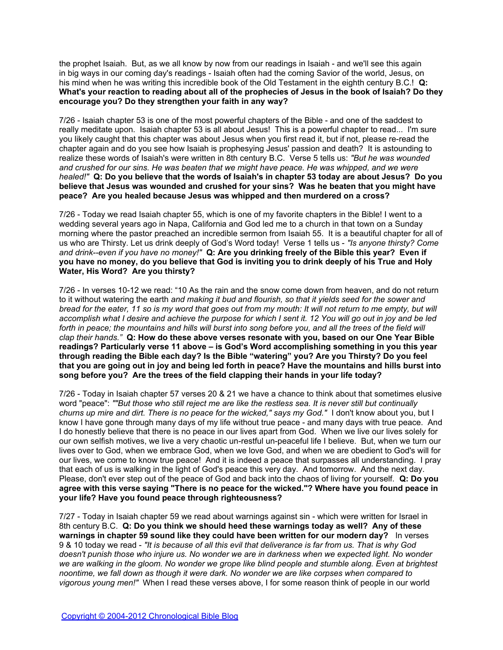the prophet Isaiah. But, as we all know by now from our readings in Isaiah - and we'll see this again in big ways in our coming day's readings - Isaiah often had the coming Savior of the world, Jesus, on his mind when he was writing this incredible book of the Old Testament in the eighth century B.C.! **Q: What's your reaction to reading about all of the prophecies of Jesus in the book of Isaiah? Do they encourage you? Do they strengthen your faith in any way?**

7/26 - Isaiah chapter 53 is one of the most powerful chapters of the Bible - and one of the saddest to really meditate upon. Isaiah chapter 53 is all about Jesus! This is a powerful chapter to read... I'm sure you likely caught that this chapter was about Jesus when you first read it, but if not, please re-read the chapter again and do you see how Isaiah is prophesying Jesus' passion and death? It is astounding to realize these words of Isaiah's were written in 8th century B.C. Verse 5 tells us: *"But he was wounded and crushed for our sins. He was beaten that we might have peace. He was whipped, and we were healed!"* **Q: Do you believe that the words of Isaiah's in chapter 53 today are about Jesus? Do you believe that Jesus was wounded and crushed for your sins? Was he beaten that you might have peace? Are you healed because Jesus was whipped and then murdered on a cross?**

7/26 - Today we read Isaiah chapter 55, which is one of my favorite chapters in the Bible! I went to a wedding several years ago in Napa, California and God led me to a church in that town on a Sunday morning where the pastor preached an incredible sermon from Isaiah 55. It is a beautiful chapter for all of us who are Thirsty. Let us drink deeply of God's Word today! Verse 1 tells us - *"Is anyone thirsty? Come and drink--even if you have no money!"* **Q: Are you drinking freely of the Bible this year? Even if you have no money, do you believe that God is inviting you to drink deeply of his True and Holy Water, His Word? Are you thirsty?**

7/26 - In verses 10-12 we read: "10 As the rain and the snow come down from heaven, and do not return to it without watering the earth *and making it bud and flourish, so that it yields seed for the sower and bread for the eater, 11 so is my word that goes out from my mouth: It will not return to me empty, but will accomplish what I desire and achieve the purpose for which I sent it. 12 You will go out in joy and be led*  forth in peace; the mountains and hills will burst into song before you, and all the trees of the field will *clap their hands."* **Q: How do these above verses resonate with you, based on our One Year Bible readings? Particularly verse 11 above – is God's Word accomplishing something in you this year through reading the Bible each day? Is the Bible "watering" you? Are you Thirsty? Do you feel that you are going out in joy and being led forth in peace? Have the mountains and hills burst into song before you? Are the trees of the field clapping their hands in your life today?**

7/26 - Today in Isaiah chapter 57 verses 20 & 21 we have a chance to think about that sometimes elusive word "peace": *""But those who still reject me are like the restless sea. It is never still but continually churns up mire and dirt. There is no peace for the wicked," says my God."* I don't know about you, but I know I have gone through many days of my life without true peace - and many days with true peace. And I do honestly believe that there is no peace in our lives apart from God. When we live our lives solely for our own selfish motives, we live a very chaotic un-restful un-peaceful life I believe. But, when we turn our lives over to God, when we embrace God, when we love God, and when we are obedient to God's will for our lives, we come to know true peace! And it is indeed a peace that surpasses all understanding. I pray that each of us is walking in the light of God's peace this very day. And tomorrow. And the next day. Please, don't ever step out of the peace of God and back into the chaos of living for yourself. **Q: Do you agree with this verse saying "There is no peace for the wicked."? Where have you found peace in your life? Have you found peace through righteousness?**

7/27 - Today in Isaiah chapter 59 we read about warnings against sin - which were written for Israel in 8th century B.C. **Q: Do you think we should heed these warnings today as well? Any of these warnings in chapter 59 sound like they could have been written for our modern day?** In verses 9 & 10 today we read - *"It is because of all this evil that deliverance is far from us. That is why God doesn't punish those who injure us. No wonder we are in darkness when we expected light. No wonder we are walking in the gloom. No wonder we grope like blind people and stumble along. Even at brightest noontime, we fall down as though it were dark. No wonder we are like corpses when compared to vigorous young men!"* When I read these verses above, I for some reason think of people in our world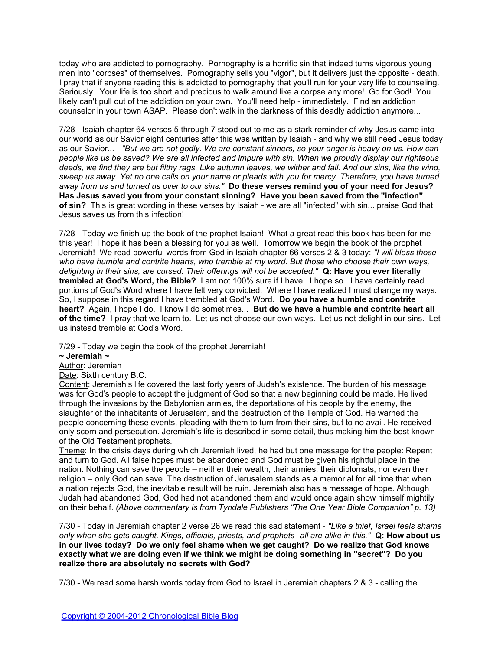today who are addicted to pornography. Pornography is a horrific sin that indeed turns vigorous young men into "corpses" of themselves. Pornography sells you "vigor", but it delivers just the opposite - death. I pray that if anyone reading this is addicted to pornography that you'll run for your very life to counseling. Seriously. Your life is too short and precious to walk around like a corpse any more! Go for God! You likely can't pull out of the addiction on your own. You'll need help - immediately. Find an addiction counselor in your town ASAP. Please don't walk in the darkness of this deadly addiction anymore...

7/28 - Isaiah chapter 64 verses 5 through 7 stood out to me as a stark reminder of why Jesus came into our world as our Savior eight centuries after this was written by Isaiah - and why we still need Jesus today as our Savior... - *"But we are not godly. We are constant sinners, so your anger is heavy on us. How can people like us be saved? We are all infected and impure with sin. When we proudly display our righteous deeds, we find they are but filthy rags. Like autumn leaves, we wither and fall. And our sins, like the wind, sweep us away. Yet no one calls on your name or pleads with you for mercy. Therefore, you have turned away from us and turned us over to our sins."* **Do these verses remind you of your need for Jesus? Has Jesus saved you from your constant sinning? Have you been saved from the "infection" of sin?** This is great wording in these verses by Isaiah - we are all "infected" with sin... praise God that Jesus saves us from this infection!

7/28 - Today we finish up the book of the prophet Isaiah! What a great read this book has been for me this year! I hope it has been a blessing for you as well. Tomorrow we begin the book of the prophet Jeremiah! We read powerful words from God in Isaiah chapter 66 verses 2 & 3 today: *"I will bless those who have humble and contrite hearts, who tremble at my word. But those who choose their own ways, delighting in their sins, are cursed. Their offerings will not be accepted."* **Q: Have you ever literally trembled at God's Word, the Bible?** I am not 100% sure if I have. I hope so. I have certainly read portions of God's Word where I have felt very convicted. Where I have realized I must change my ways. So, I suppose in this regard I have trembled at God's Word. **Do you have a humble and contrite heart?** Again, I hope I do. I know I do sometimes... **But do we have a humble and contrite heart all of the time?** I pray that we learn to. Let us not choose our own ways. Let us not delight in our sins. Let us instead tremble at God's Word.

7/29 - Today we begin the book of the prophet Jeremiah!

**~ Jeremiah ~**

Author: Jeremiah

Date: Sixth century B.C.

Content: Jeremiah's life covered the last forty years of Judah's existence. The burden of his message was for God's people to accept the judgment of God so that a new beginning could be made. He lived through the invasions by the Babylonian armies, the deportations of his people by the enemy, the slaughter of the inhabitants of Jerusalem, and the destruction of the Temple of God. He warned the people concerning these events, pleading with them to turn from their sins, but to no avail. He received only scorn and persecution. Jeremiah's life is described in some detail, thus making him the best known of the Old Testament prophets.

Theme: In the crisis days during which Jeremiah lived, he had but one message for the people: Repent and turn to God. All false hopes must be abandoned and God must be given his rightful place in the nation. Nothing can save the people – neither their wealth, their armies, their diplomats, nor even their religion – only God can save. The destruction of Jerusalem stands as a memorial for all time that when a nation rejects God, the inevitable result will be ruin. Jeremiah also has a message of hope. Although Judah had abandoned God, God had not abandoned them and would once again show himself mightily on their behalf. *(Above commentary is from Tyndale Publishers "The One Year Bible Companion" p. 13)*

7/30 - Today in Jeremiah chapter 2 verse 26 we read this sad statement - *"Like a thief, Israel feels shame only when she gets caught. Kings, officials, priests, and prophets--all are alike in this."* **Q: How about us in our lives today? Do we only feel shame when we get caught? Do we realize that God knows exactly what we are doing even if we think we might be doing something in "secret"? Do you realize there are absolutely no secrets with God?**

7/30 - We read some harsh words today from God to Israel in Jeremiah chapters 2 & 3 - calling the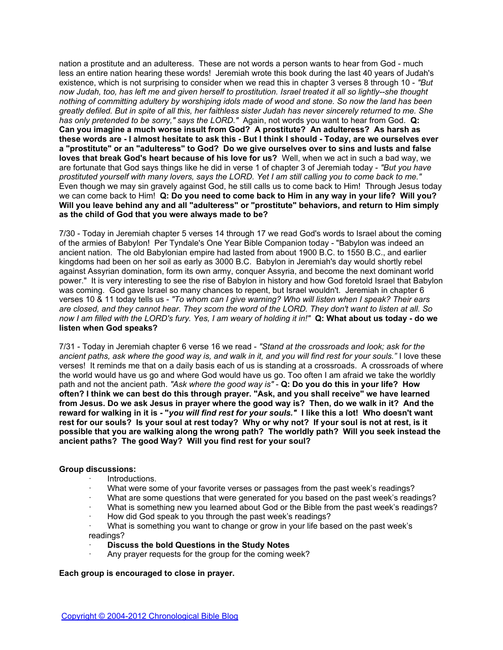nation a prostitute and an adulteress. These are not words a person wants to hear from God - much less an entire nation hearing these words! Jeremiah wrote this book during the last 40 years of Judah's existence, which is not surprising to consider when we read this in chapter 3 verses 8 through 10 - *"But now Judah, too, has left me and given herself to prostitution. Israel treated it all so lightly--she thought nothing of committing adultery by worshiping idols made of wood and stone. So now the land has been greatly defiled. But in spite of all this, her faithless sister Judah has never sincerely returned to me. She has only pretended to be sorry," says the LORD."* Again, not words you want to hear from God. **Q: Can you imagine a much worse insult from God? A prostitute? An adulteress? As harsh as these words are - I almost hesitate to ask this - But I think I should - Today, are we ourselves ever a "prostitute" or an "adulteress" to God? Do we give ourselves over to sins and lusts and false loves that break God's heart because of his love for us?** Well, when we act in such a bad way, we are fortunate that God says things like he did in verse 1 of chapter 3 of Jeremiah today - *"But you have prostituted yourself with many lovers, says the LORD. Yet I am still calling you to come back to me."* Even though we may sin gravely against God, he still calls us to come back to Him! Through Jesus today we can come back to Him! **Q: Do you need to come back to Him in any way in your life? Will you? Will you leave behind any and all "adulteress" or "prostitute" behaviors, and return to Him simply as the child of God that you were always made to be?**

7/30 - Today in Jeremiah chapter 5 verses 14 through 17 we read God's words to Israel about the coming of the armies of Babylon! Per Tyndale's One Year Bible Companion today - "Babylon was indeed an ancient nation. The old Babylonian empire had lasted from about 1900 B.C. to 1550 B.C., and earlier kingdoms had been on her soil as early as 3000 B.C. Babylon in Jeremiah's day would shortly rebel against Assyrian domination, form its own army, conquer Assyria, and become the next dominant world power." It is very interesting to see the rise of Babylon in history and how God foretold Israel that Babylon was coming. God gave Israel so many chances to repent, but Israel wouldn't. Jeremiah in chapter 6 verses 10 & 11 today tells us - *"To whom can I give warning? Who will listen when I speak? Their ears are closed, and they cannot hear. They scorn the word of the LORD. They don't want to listen at all. So now I am filled with the LORD's fury. Yes, I am weary of holding it in!"* **Q: What about us today - do we listen when God speaks?**

7/31 - Today in Jeremiah chapter 6 verse 16 we read - *"Stand at the crossroads and look; ask for the ancient paths, ask where the good way is, and walk in it, and you will find rest for your souls."* I love these verses! It reminds me that on a daily basis each of us is standing at a crossroads. A crossroads of where the world would have us go and where God would have us go. Too often I am afraid we take the worldly path and not the ancient path. *"Ask where the good way is"* - **Q: Do you do this in your life? How often? I think we can best do this through prayer. "Ask, and you shall receive" we have learned from Jesus. Do we ask Jesus in prayer where the good way is? Then, do we walk in it? And the reward for walking in it is - "***you will find rest for your souls."* **I like this a lot! Who doesn't want rest for our souls? Is your soul at rest today? Why or why not? If your soul is not at rest, is it possible that you are walking along the wrong path? The worldly path? Will you seek instead the ancient paths? The good Way? Will you find rest for your soul?**

### **Group discussions:**

- · Introductions.
- What were some of your favorite verses or passages from the past week's readings?
- What are some questions that were generated for you based on the past week's readings?
- · What is something new you learned about God or the Bible from the past week's readings?
- · How did God speak to you through the past week's readings?
- · What is something you want to change or grow in your life based on the past week's readings?
- **Discuss the bold Questions in the Study Notes**
- Any prayer requests for the group for the coming week?

### **Each group is encouraged to close in prayer.**